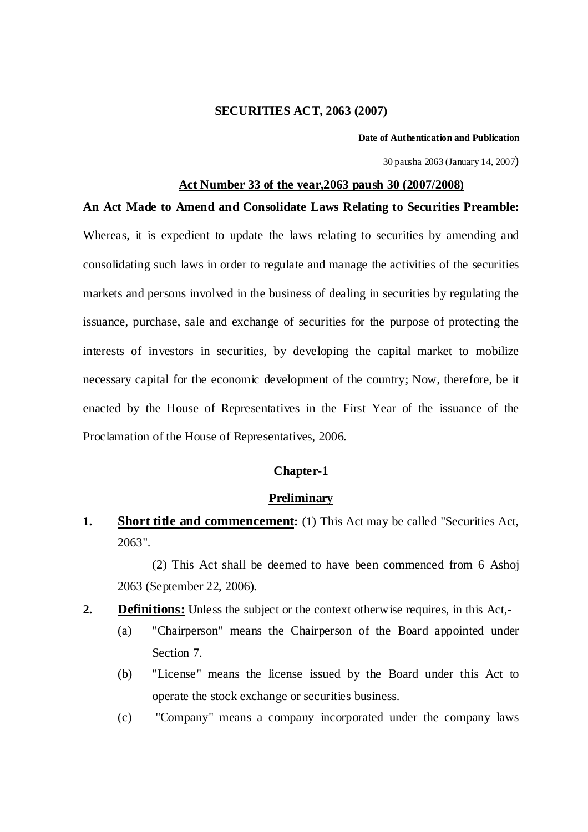#### **SECURITIES ACT, 2063 (2007)**

**Date of Authentication and Publication** 

30 pausha 2063 (January 14, 2007)

#### **Act Number 33 of the year,2063 paush 30 (2007/2008)**

**An Act Made to Amend and Consolidate Laws Relating to Securities Preamble:**  Whereas, it is expedient to update the laws relating to securities by amending and consolidating such laws in order to regulate and manage the activities of the securities markets and persons involved in the business of dealing in securities by regulating the issuance, purchase, sale and exchange of securities for the purpose of protecting the interests of investors in securities, by developing the capital market to mobilize necessary capital for the economic development of the country; Now, therefore, be it enacted by the House of Representatives in the First Year of the issuance of the Proclamation of the House of Representatives, 2006.

#### **Chapter-1**

#### **Preliminary**

**1. Short title and commencement:** (1) This Act may be called "Securities Act, 2063".

(2) This Act shall be deemed to have been commenced from 6 Ashoj 2063 (September 22, 2006).

- **2. Definitions:** Unless the subject or the context otherwise requires, in this Act,-
	- (a) "Chairperson" means the Chairperson of the Board appointed under Section 7.
	- (b) "License" means the license issued by the Board under this Act to operate the stock exchange or securities business.
	- (c) "Company" means a company incorporated under the company laws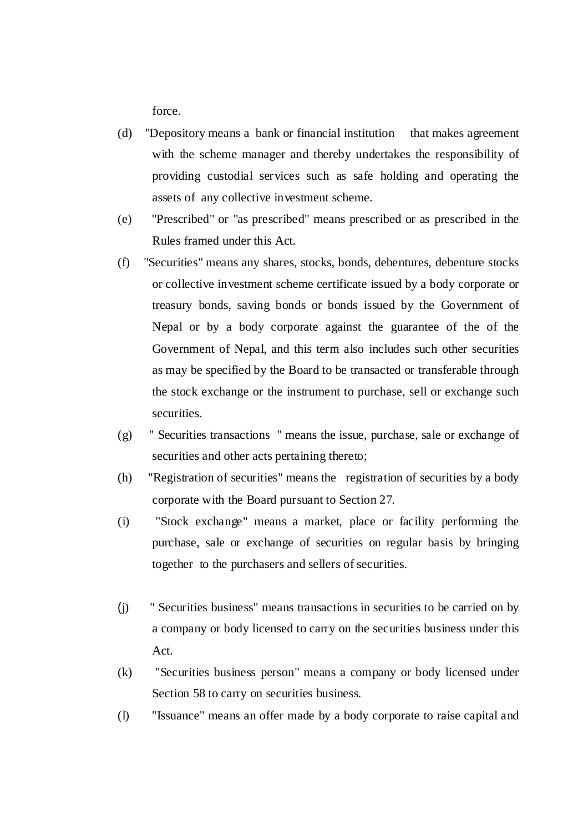force.

- (d) "Depository means a bank or financial institution that makes agreement with the scheme manager and thereby undertakes the responsibility of providing custodial services such as safe holding and operating the assets of any collective investment scheme.
- (e) "Prescribed" or "as prescribed" means prescribed or as prescribed in the Rules framed under this Act.
- (f) "Securities" means any shares, stocks, bonds, debentures, debenture stocks or collective investment scheme certificate issued by a body corporate or treasury bonds, saving bonds or bonds issued by the Government of Nepal or by a body corporate against the guarantee of the of the Government of Nepal, and this term also includes such other securities as may be specified by the Board to be transacted or transferable through the stock exchange or the instrument to purchase, sell or exchange such securities.
- (g) " Securities transactions " means the issue, purchase, sale or exchange of securities and other acts pertaining thereto;
- (h) "Registration of securities" means the registration of securities by a body corporate with the Board pursuant to Section 27.
- (i) "Stock exchange" means a market, place or facility performing the purchase, sale or exchange of securities on regular basis by bringing together to the purchasers and sellers of securities.
- (j) " Securities business" means transactions in securities to be carried on by a company or body licensed to carry on the securities business under this Act.
- (k) "Securities business person" means a company or body licensed under Section 58 to carry on securities business.
- (l) "Issuance" means an offer made by a body corporate to raise capital and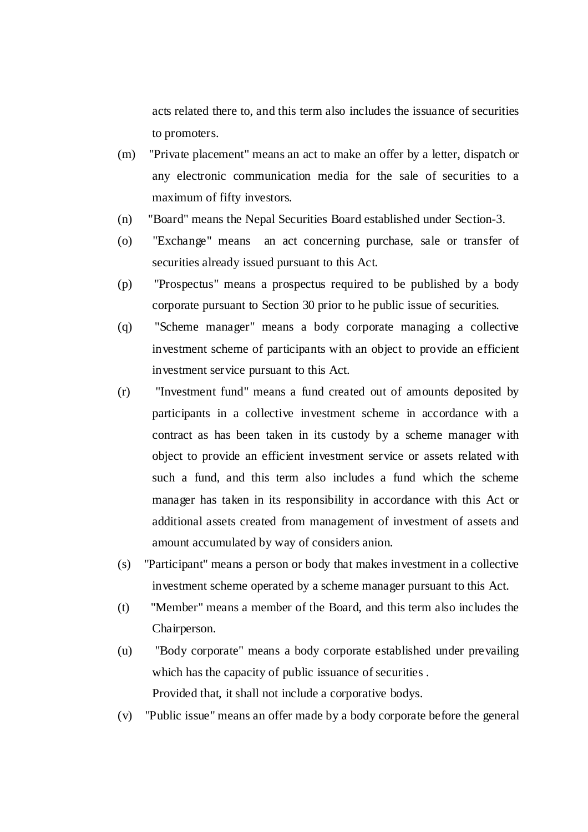acts related there to, and this term also includes the issuance of securities to promoters.

- (m) "Private placement" means an act to make an offer by a letter, dispatch or any electronic communication media for the sale of securities to a maximum of fifty investors.
- (n) "Board" means the Nepal Securities Board established under Section-3.
- (o) "Exchange" means an act concerning purchase, sale or transfer of securities already issued pursuant to this Act.
- (p) "Prospectus" means a prospectus required to be published by a body corporate pursuant to Section 30 prior to he public issue of securities.
- (q) "Scheme manager" means a body corporate managing a collective investment scheme of participants with an object to provide an efficient investment service pursuant to this Act.
- (r) "Investment fund" means a fund created out of amounts deposited by participants in a collective investment scheme in accordance with a contract as has been taken in its custody by a scheme manager with object to provide an efficient investment service or assets related with such a fund, and this term also includes a fund which the scheme manager has taken in its responsibility in accordance with this Act or additional assets created from management of investment of assets and amount accumulated by way of considers anion.
- (s) "Participant" means a person or body that makes investment in a collective investment scheme operated by a scheme manager pursuant to this Act.
- (t) "Member" means a member of the Board, and this term also includes the Chairperson.
- (u) "Body corporate" means a body corporate established under prevailing which has the capacity of public issuance of securities. Provided that, it shall not include a corporative bodys.
- (v) "Public issue" means an offer made by a body corporate before the general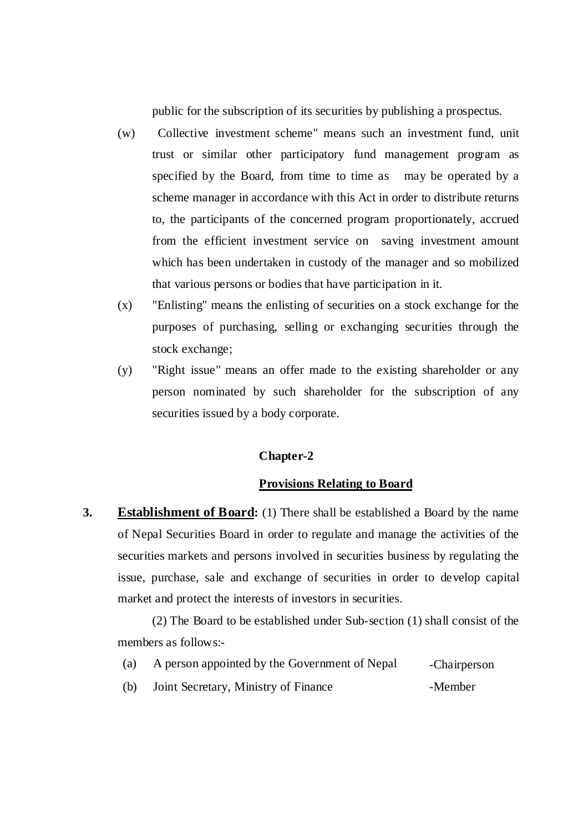public for the subscription of its securities by publishing a prospectus.

- (w) Collective investment scheme" means such an investment fund, unit trust or similar other participatory fund management program as specified by the Board, from time to time as may be operated by a scheme manager in accordance with this Act in order to distribute returns to, the participants of the concerned program proportionately, accrued from the efficient investment service on saving investment amount which has been undertaken in custody of the manager and so mobilized that various persons or bodies that have participation in it.
- (x) "Enlisting" means the enlisting of securities on a stock exchange for the purposes of purchasing, selling or exchanging securities through the stock exchange;
- (y) "Right issue" means an offer made to the existing shareholder or any person nominated by such shareholder for the subscription of any securities issued by a body corporate.

#### **Chapter-2**

#### **Provisions Relating to Board**

**3. Establishment of Board:** (1) There shall be established a Board by the name of Nepal Securities Board in order to regulate and manage the activities of the securities markets and persons involved in securities business by regulating the issue, purchase, sale and exchange of securities in order to develop capital market and protect the interests of investors in securities.

(2) The Board to be established under Sub-section (1) shall consist of the members as follows:-

- (a) A person appointed by the Government of Nepal -Chairperson
- (b) Joint Secretary, Ministry of Finance -Member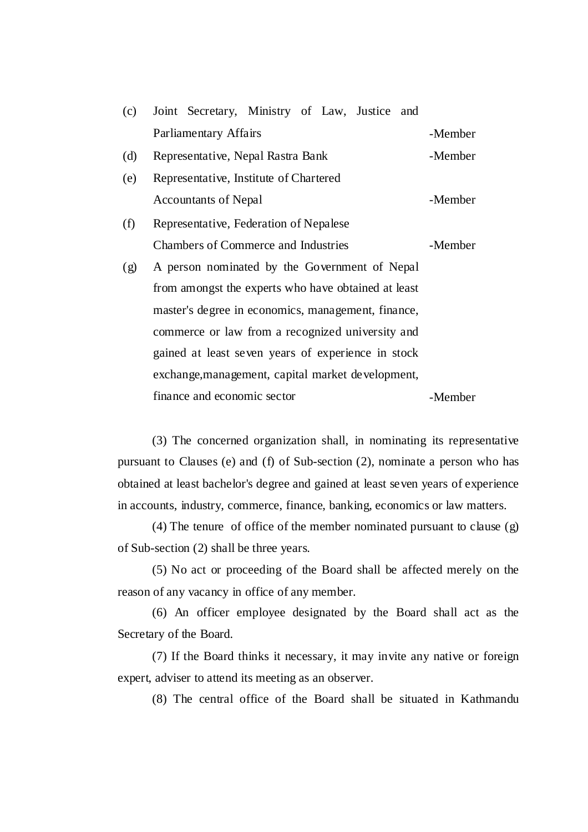| (c) | Joint Secretary, Ministry of Law, Justice and       |         |
|-----|-----------------------------------------------------|---------|
|     | <b>Parliamentary Affairs</b>                        | -Member |
| (d) | Representative, Nepal Rastra Bank                   | -Member |
| (e) | Representative, Institute of Chartered              |         |
|     | <b>Accountants of Nepal</b>                         | -Member |
| (f) | Representative, Federation of Nepalese              |         |
|     | <b>Chambers of Commerce and Industries</b>          | -Member |
| (g) | A person nominated by the Government of Nepal       |         |
|     | from amongst the experts who have obtained at least |         |
|     | master's degree in economics, management, finance,  |         |
|     | commerce or law from a recognized university and    |         |
|     | gained at least seven years of experience in stock  |         |
|     | exchange, management, capital market development,   |         |
|     | finance and economic sector                         | -Member |

(3) The concerned organization shall, in nominating its representative pursuant to Clauses (e) and (f) of Sub-section (2), nominate a person who has obtained at least bachelor's degree and gained at least seven years of experience in accounts, industry, commerce, finance, banking, economics or law matters.

(4) The tenure of office of the member nominated pursuant to clause (g) of Sub-section (2) shall be three years.

(5) No act or proceeding of the Board shall be affected merely on the reason of any vacancy in office of any member.

(6) An officer employee designated by the Board shall act as the Secretary of the Board.

(7) If the Board thinks it necessary, it may invite any native or foreign expert, adviser to attend its meeting as an observer.

(8) The central office of the Board shall be situated in Kathmandu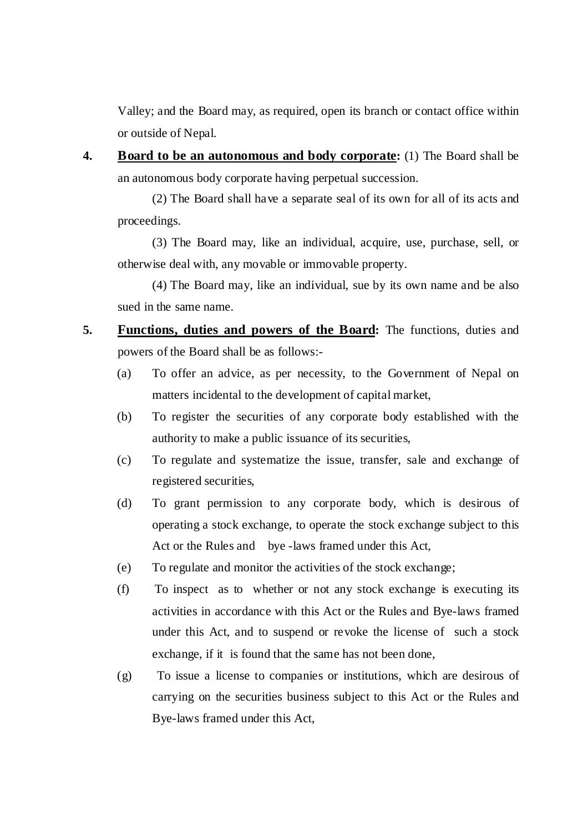Valley; and the Board may, as required, open its branch or contact office within or outside of Nepal.

**4. Board to be an autonomous and body corporate:** (1) The Board shall be an autonomous body corporate having perpetual succession.

(2) The Board shall have a separate seal of its own for all of its acts and proceedings.

(3) The Board may, like an individual, acquire, use, purchase, sell, or otherwise deal with, any movable or immovable property.

(4) The Board may, like an individual, sue by its own name and be also sued in the same name.

- **5. Functions, duties and powers of the Board:** The functions, duties and powers of the Board shall be as follows:-
	- (a) To offer an advice, as per necessity, to the Government of Nepal on matters incidental to the development of capital market,
	- (b) To register the securities of any corporate body established with the authority to make a public issuance of its securities,
	- (c) To regulate and systematize the issue, transfer, sale and exchange of registered securities,
	- (d) To grant permission to any corporate body, which is desirous of operating a stock exchange, to operate the stock exchange subject to this Act or the Rules and bye -laws framed under this Act,
	- (e) To regulate and monitor the activities of the stock exchange;
	- (f) To inspect as to whether or not any stock exchange is executing its activities in accordance with this Act or the Rules and Bye-laws framed under this Act, and to suspend or revoke the license of such a stock exchange, if it is found that the same has not been done,
	- (g) To issue a license to companies or institutions, which are desirous of carrying on the securities business subject to this Act or the Rules and Bye-laws framed under this Act,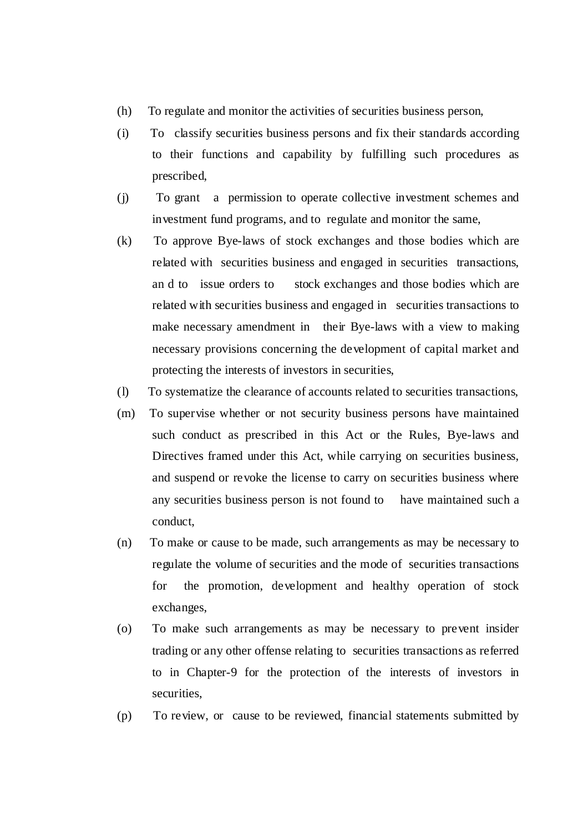- (h) To regulate and monitor the activities of securities business person,
- (i) To classify securities business persons and fix their standards according to their functions and capability by fulfilling such procedures as prescribed,
- (j) To grant a permission to operate collective investment schemes and investment fund programs, and to regulate and monitor the same,
- (k) To approve Bye-laws of stock exchanges and those bodies which are related with securities business and engaged in securities transactions, an d to issue orders to stock exchanges and those bodies which are related with securities business and engaged in securities transactions to make necessary amendment in their Bye-laws with a view to making necessary provisions concerning the development of capital market and protecting the interests of investors in securities,
- (l) To systematize the clearance of accounts related to securities transactions,
- (m) To supervise whether or not security business persons have maintained such conduct as prescribed in this Act or the Rules, Bye-laws and Directives framed under this Act, while carrying on securities business, and suspend or revoke the license to carry on securities business where any securities business person is not found to have maintained such a conduct,
- (n) To make or cause to be made, such arrangements as may be necessary to regulate the volume of securities and the mode of securities transactions for the promotion, development and healthy operation of stock exchanges,
- (o) To make such arrangements as may be necessary to prevent insider trading or any other offense relating to securities transactions as referred to in Chapter-9 for the protection of the interests of investors in securities,
- (p) To review, or cause to be reviewed, financial statements submitted by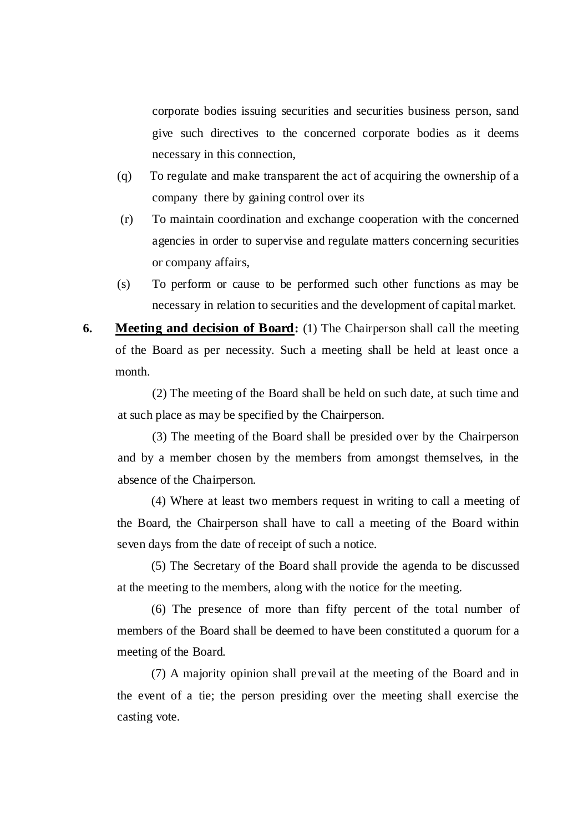corporate bodies issuing securities and securities business person, sand give such directives to the concerned corporate bodies as it deems necessary in this connection,

- (q) To regulate and make transparent the act of acquiring the ownership of a company there by gaining control over its
- (r) To maintain coordination and exchange cooperation with the concerned agencies in order to supervise and regulate matters concerning securities or company affairs,
- (s) To perform or cause to be performed such other functions as may be necessary in relation to securities and the development of capital market.
- **6. Meeting and decision of Board:** (1) The Chairperson shall call the meeting of the Board as per necessity. Such a meeting shall be held at least once a month.

 (2) The meeting of the Board shall be held on such date, at such time and at such place as may be specified by the Chairperson.

 (3) The meeting of the Board shall be presided over by the Chairperson and by a member chosen by the members from amongst themselves, in the absence of the Chairperson.

(4) Where at least two members request in writing to call a meeting of the Board, the Chairperson shall have to call a meeting of the Board within seven days from the date of receipt of such a notice.

(5) The Secretary of the Board shall provide the agenda to be discussed at the meeting to the members, along with the notice for the meeting.

(6) The presence of more than fifty percent of the total number of members of the Board shall be deemed to have been constituted a quorum for a meeting of the Board.

(7) A majority opinion shall prevail at the meeting of the Board and in the event of a tie; the person presiding over the meeting shall exercise the casting vote.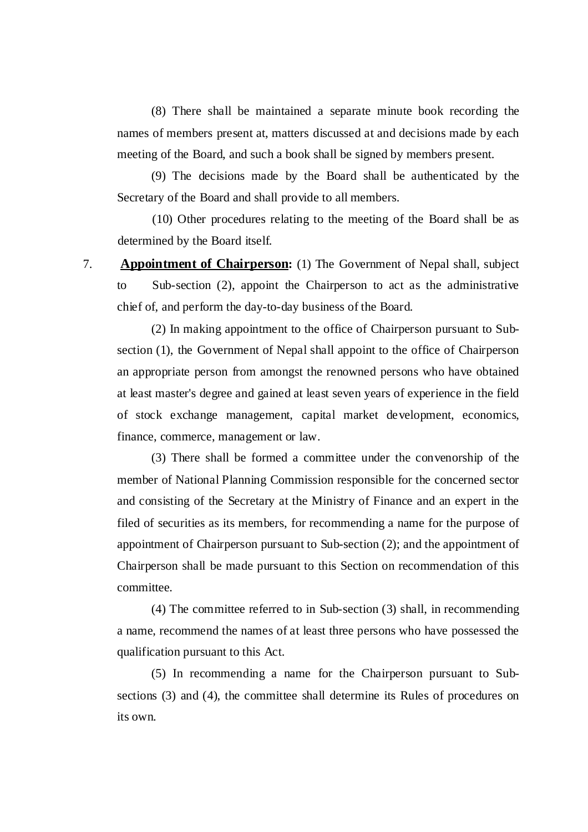(8) There shall be maintained a separate minute book recording the names of members present at, matters discussed at and decisions made by each meeting of the Board, and such a book shall be signed by members present.

(9) The decisions made by the Board shall be authenticated by the Secretary of the Board and shall provide to all members.

 (10) Other procedures relating to the meeting of the Board shall be as determined by the Board itself.

7. **Appointment of Chairperson:** (1) The Government of Nepal shall, subject to Sub-section (2), appoint the Chairperson to act as the administrative chief of, and perform the day-to-day business of the Board.

(2) In making appointment to the office of Chairperson pursuant to Subsection (1), the Government of Nepal shall appoint to the office of Chairperson an appropriate person from amongst the renowned persons who have obtained at least master's degree and gained at least seven years of experience in the field of stock exchange management, capital market development, economics, finance, commerce, management or law.

(3) There shall be formed a committee under the convenorship of the member of National Planning Commission responsible for the concerned sector and consisting of the Secretary at the Ministry of Finance and an expert in the filed of securities as its members, for recommending a name for the purpose of appointment of Chairperson pursuant to Sub-section (2); and the appointment of Chairperson shall be made pursuant to this Section on recommendation of this committee.

(4) The committee referred to in Sub-section (3) shall, in recommending a name, recommend the names of at least three persons who have possessed the qualification pursuant to this Act.

(5) In recommending a name for the Chairperson pursuant to Subsections (3) and (4), the committee shall determine its Rules of procedures on its own.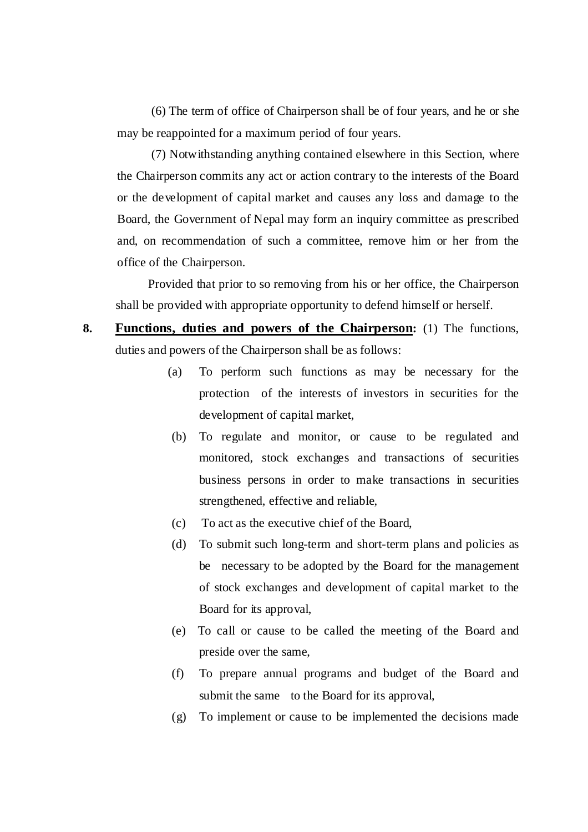(6) The term of office of Chairperson shall be of four years, and he or she may be reappointed for a maximum period of four years.

(7) Notwithstanding anything contained elsewhere in this Section, where the Chairperson commits any act or action contrary to the interests of the Board or the development of capital market and causes any loss and damage to the Board, the Government of Nepal may form an inquiry committee as prescribed and, on recommendation of such a committee, remove him or her from the office of the Chairperson.

Provided that prior to so removing from his or her office, the Chairperson shall be provided with appropriate opportunity to defend himself or herself.

- **8. Functions, duties and powers of the Chairperson:** (1) The functions, duties and powers of the Chairperson shall be as follows:
	- (a) To perform such functions as may be necessary for the protection of the interests of investors in securities for the development of capital market,
	- (b) To regulate and monitor, or cause to be regulated and monitored, stock exchanges and transactions of securities business persons in order to make transactions in securities strengthened, effective and reliable,
	- (c) To act as the executive chief of the Board,
	- (d) To submit such long-term and short-term plans and policies as be necessary to be adopted by the Board for the management of stock exchanges and development of capital market to the Board for its approval,
	- (e) To call or cause to be called the meeting of the Board and preside over the same,
	- (f) To prepare annual programs and budget of the Board and submit the same to the Board for its approval,
	- (g) To implement or cause to be implemented the decisions made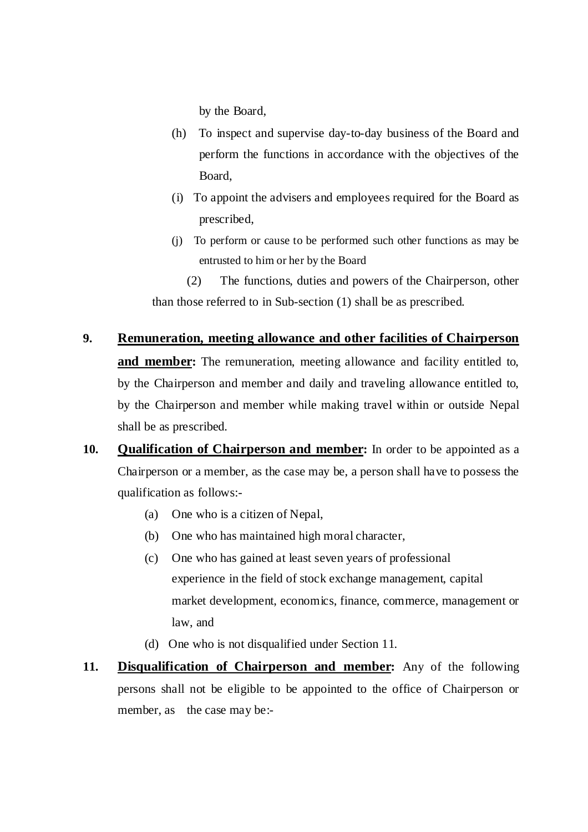by the Board,

- (h) To inspect and supervise day-to-day business of the Board and perform the functions in accordance with the objectives of the Board,
- (i) To appoint the advisers and employees required for the Board as prescribed,
- (j) To perform or cause to be performed such other functions as may be entrusted to him or her by the Board

 (2) The functions, duties and powers of the Chairperson, other than those referred to in Sub-section (1) shall be as prescribed.

# **9. Remuneration, meeting allowance and other facilities of Chairperson and member:** The remuneration, meeting allowance and facility entitled to, by the Chairperson and member and daily and traveling allowance entitled to, by the Chairperson and member while making travel within or outside Nepal shall be as prescribed.

- **10. Qualification of Chairperson and member:** In order to be appointed as a Chairperson or a member, as the case may be, a person shall have to possess the qualification as follows:-
	- (a) One who is a citizen of Nepal,
	- (b) One who has maintained high moral character,
	- (c) One who has gained at least seven years of professional experience in the field of stock exchange management, capital market development, economics, finance, commerce, management or law, and
	- (d) One who is not disqualified under Section 11.
- **11. Disqualification of Chairperson and member:** Any of the following persons shall not be eligible to be appointed to the office of Chairperson or member, as the case may be:-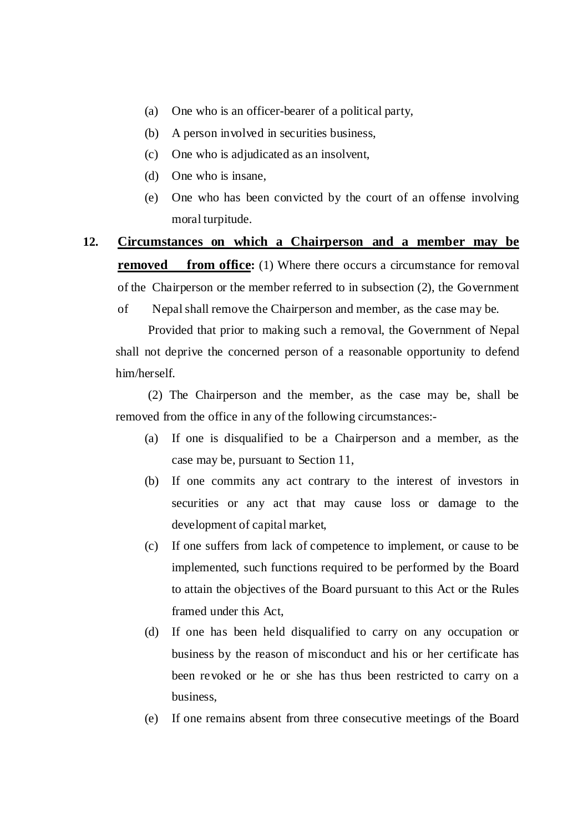- (a) One who is an officer-bearer of a political party,
- (b) A person involved in securities business,
- (c) One who is adjudicated as an insolvent,
- (d) One who is insane,
- (e) One who has been convicted by the court of an offense involving moral turpitude.

**12. Circumstances on which a Chairperson and a member may be removed** from office: (1) Where there occurs a circumstance for removal of the Chairperson or the member referred to in subsection (2), the Government

of Nepal shall remove the Chairperson and member, as the case may be.

Provided that prior to making such a removal, the Government of Nepal shall not deprive the concerned person of a reasonable opportunity to defend him/herself.

(2) The Chairperson and the member, as the case may be, shall be removed from the office in any of the following circumstances:-

- (a) If one is disqualified to be a Chairperson and a member, as the case may be, pursuant to Section 11,
- (b) If one commits any act contrary to the interest of investors in securities or any act that may cause loss or damage to the development of capital market,
- (c) If one suffers from lack of competence to implement, or cause to be implemented, such functions required to be performed by the Board to attain the objectives of the Board pursuant to this Act or the Rules framed under this Act,
- (d) If one has been held disqualified to carry on any occupation or business by the reason of misconduct and his or her certificate has been revoked or he or she has thus been restricted to carry on a business,
- (e) If one remains absent from three consecutive meetings of the Board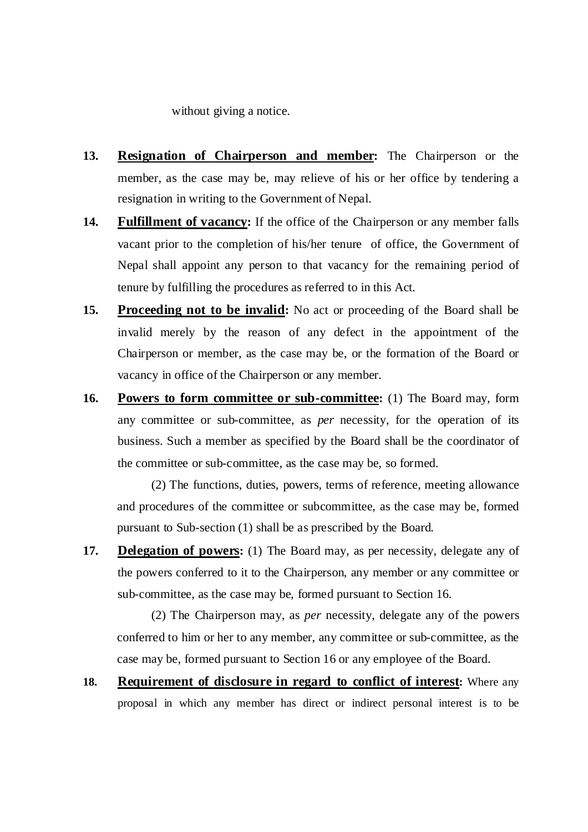without giving a notice.

- **13. Resignation of Chairperson and member:** The Chairperson or the member, as the case may be, may relieve of his or her office by tendering a resignation in writing to the Government of Nepal.
- **14. Fulfillment of vacancy:** If the office of the Chairperson or any member falls vacant prior to the completion of his/her tenure of office, the Government of Nepal shall appoint any person to that vacancy for the remaining period of tenure by fulfilling the procedures as referred to in this Act.
- **15. Proceeding not to be invalid:** No act or proceeding of the Board shall be invalid merely by the reason of any defect in the appointment of the Chairperson or member, as the case may be, or the formation of the Board or vacancy in office of the Chairperson or any member.
- **16. Powers to form committee or sub-committee:** (1) The Board may, form any committee or sub-committee, as *per* necessity, for the operation of its business. Such a member as specified by the Board shall be the coordinator of the committee or sub-committee, as the case may be, so formed.

(2) The functions, duties, powers, terms of reference, meeting allowance and procedures of the committee or subcommittee, as the case may be, formed pursuant to Sub-section (1) shall be as prescribed by the Board.

**17. Delegation of powers:** (1) The Board may, as per necessity, delegate any of the powers conferred to it to the Chairperson, any member or any committee or sub-committee, as the case may be, formed pursuant to Section 16.

(2) The Chairperson may, as *per* necessity, delegate any of the powers conferred to him or her to any member, any committee or sub-committee, as the case may be, formed pursuant to Section 16 or any employee of the Board.

**18. Requirement of disclosure in regard to conflict of interest:** Where any proposal in which any member has direct or indirect personal interest is to be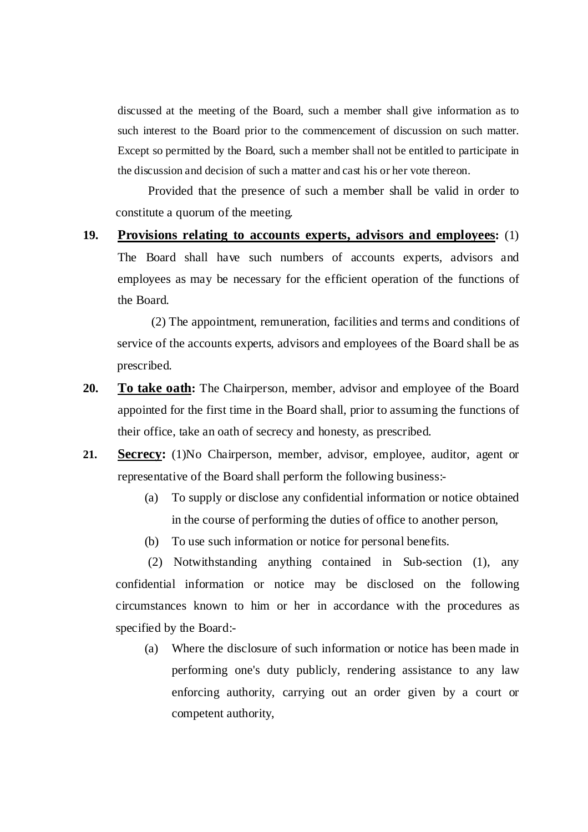discussed at the meeting of the Board, such a member shall give information as to such interest to the Board prior to the commencement of discussion on such matter. Except so permitted by the Board, such a member shall not be entitled to participate in the discussion and decision of such a matter and cast his or her vote thereon.

Provided that the presence of such a member shall be valid in order to constitute a quorum of the meeting.

**19. Provisions relating to accounts experts, advisors and employees:** (1) The Board shall have such numbers of accounts experts, advisors and employees as may be necessary for the efficient operation of the functions of the Board.

(2) The appointment, remuneration, facilities and terms and conditions of service of the accounts experts, advisors and employees of the Board shall be as prescribed.

- **20. To take oath:** The Chairperson, member, advisor and employee of the Board appointed for the first time in the Board shall, prior to assuming the functions of their office, take an oath of secrecy and honesty, as prescribed.
- **21. Secrecy:** (1)No Chairperson, member, advisor, employee, auditor, agent or representative of the Board shall perform the following business:-
	- (a) To supply or disclose any confidential information or notice obtained in the course of performing the duties of office to another person,
	- (b) To use such information or notice for personal benefits.

(2) Notwithstanding anything contained in Sub-section (1), any confidential information or notice may be disclosed on the following circumstances known to him or her in accordance with the procedures as specified by the Board:-

(a) Where the disclosure of such information or notice has been made in performing one's duty publicly, rendering assistance to any law enforcing authority, carrying out an order given by a court or competent authority,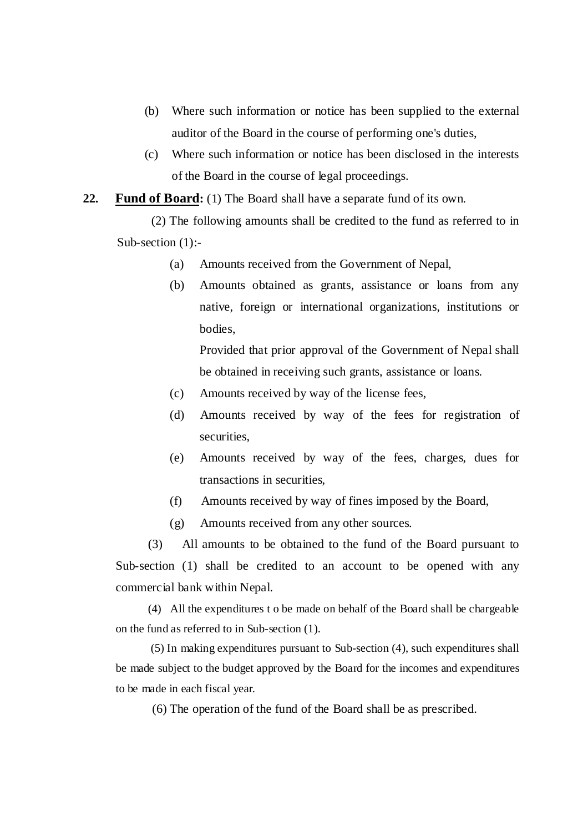- (b) Where such information or notice has been supplied to the external auditor of the Board in the course of performing one's duties,
- (c) Where such information or notice has been disclosed in the interests of the Board in the course of legal proceedings.

**22. Fund of Board:** (1) The Board shall have a separate fund of its own.

(2) The following amounts shall be credited to the fund as referred to in Sub-section (1):-

- (a) Amounts received from the Government of Nepal,
- (b) Amounts obtained as grants, assistance or loans from any native, foreign or international organizations, institutions or bodies,

 Provided that prior approval of the Government of Nepal shall be obtained in receiving such grants, assistance or loans.

- (c) Amounts received by way of the license fees,
- (d) Amounts received by way of the fees for registration of securities,
- (e) Amounts received by way of the fees, charges, dues for transactions in securities,
- (f) Amounts received by way of fines imposed by the Board,
- (g) Amounts received from any other sources.

(3) All amounts to be obtained to the fund of the Board pursuant to Sub-section (1) shall be credited to an account to be opened with any commercial bank within Nepal.

(4) All the expenditures t o be made on behalf of the Board shall be chargeable on the fund as referred to in Sub-section (1).

 (5) In making expenditures pursuant to Sub-section (4), such expenditures shall be made subject to the budget approved by the Board for the incomes and expenditures to be made in each fiscal year.

(6) The operation of the fund of the Board shall be as prescribed.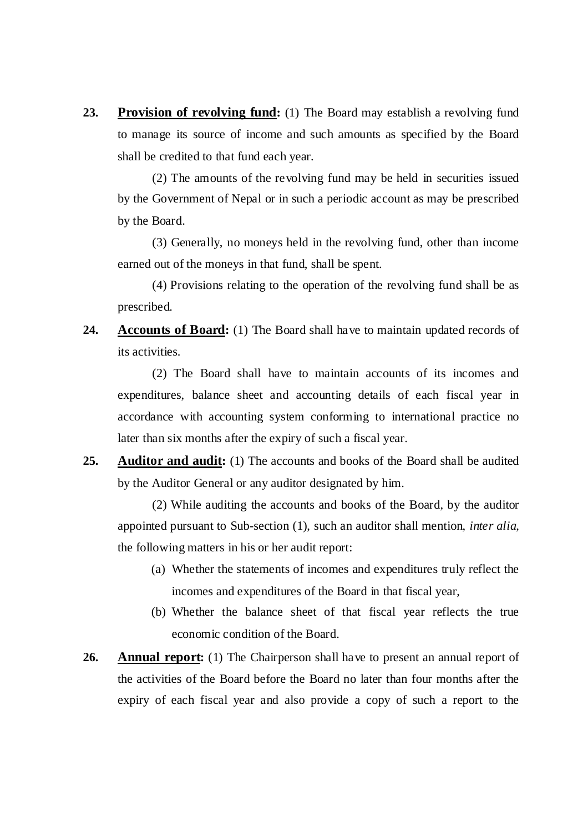**23. Provision of revolving fund:** (1) The Board may establish a revolving fund to manage its source of income and such amounts as specified by the Board shall be credited to that fund each year.

 (2) The amounts of the revolving fund may be held in securities issued by the Government of Nepal or in such a periodic account as may be prescribed by the Board.

 (3) Generally, no moneys held in the revolving fund, other than income earned out of the moneys in that fund, shall be spent.

 (4) Provisions relating to the operation of the revolving fund shall be as prescribed.

**24. Accounts of Board:** (1) The Board shall have to maintain updated records of its activities.

 (2) The Board shall have to maintain accounts of its incomes and expenditures, balance sheet and accounting details of each fiscal year in accordance with accounting system conforming to international practice no later than six months after the expiry of such a fiscal year.

**25. Auditor and audit:** (1) The accounts and books of the Board shall be audited by the Auditor General or any auditor designated by him.

 (2) While auditing the accounts and books of the Board, by the auditor appointed pursuant to Sub-section (1), such an auditor shall mention, *inter alia*, the following matters in his or her audit report:

- (a) Whether the statements of incomes and expenditures truly reflect the incomes and expenditures of the Board in that fiscal year,
- (b) Whether the balance sheet of that fiscal year reflects the true economic condition of the Board.
- **26. Annual report:** (1) The Chairperson shall have to present an annual report of the activities of the Board before the Board no later than four months after the expiry of each fiscal year and also provide a copy of such a report to the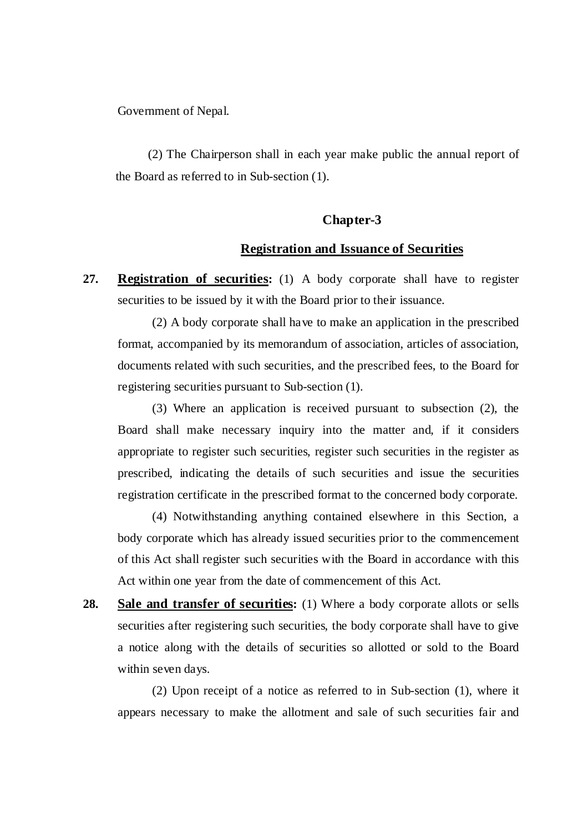Government of Nepal.

(2) The Chairperson shall in each year make public the annual report of the Board as referred to in Sub-section (1).

#### **Chapter-3**

#### **Registration and Issuance of Securities**

**27. Registration of securities:** (1) A body corporate shall have to register securities to be issued by it with the Board prior to their issuance.

 (2) A body corporate shall have to make an application in the prescribed format, accompanied by its memorandum of association, articles of association, documents related with such securities, and the prescribed fees, to the Board for registering securities pursuant to Sub-section (1).

 (3) Where an application is received pursuant to subsection (2), the Board shall make necessary inquiry into the matter and, if it considers appropriate to register such securities, register such securities in the register as prescribed, indicating the details of such securities and issue the securities registration certificate in the prescribed format to the concerned body corporate.

 (4) Notwithstanding anything contained elsewhere in this Section, a body corporate which has already issued securities prior to the commencement of this Act shall register such securities with the Board in accordance with this Act within one year from the date of commencement of this Act.

**28. Sale and transfer of securities:** (1) Where a body corporate allots or sells securities after registering such securities, the body corporate shall have to give a notice along with the details of securities so allotted or sold to the Board within seven days.

 (2) Upon receipt of a notice as referred to in Sub-section (1), where it appears necessary to make the allotment and sale of such securities fair and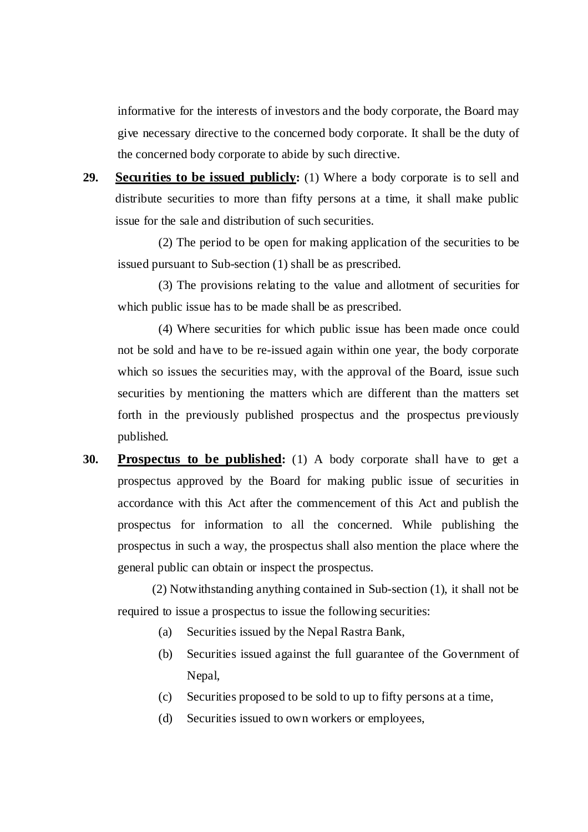informative for the interests of investors and the body corporate, the Board may give necessary directive to the concerned body corporate. It shall be the duty of the concerned body corporate to abide by such directive.

**29. Securities to be issued publicly:** (1) Where a body corporate is to sell and distribute securities to more than fifty persons at a time, it shall make public issue for the sale and distribution of such securities.

(2) The period to be open for making application of the securities to be issued pursuant to Sub-section (1) shall be as prescribed.

(3) The provisions relating to the value and allotment of securities for which public issue has to be made shall be as prescribed.

(4) Where securities for which public issue has been made once could not be sold and have to be re-issued again within one year, the body corporate which so issues the securities may, with the approval of the Board, issue such securities by mentioning the matters which are different than the matters set forth in the previously published prospectus and the prospectus previously published.

**30. Prospectus to be published:** (1) A body corporate shall have to get a prospectus approved by the Board for making public issue of securities in accordance with this Act after the commencement of this Act and publish the prospectus for information to all the concerned. While publishing the prospectus in such a way, the prospectus shall also mention the place where the general public can obtain or inspect the prospectus.

 (2) Notwithstanding anything contained in Sub-section (1), it shall not be required to issue a prospectus to issue the following securities:

- (a) Securities issued by the Nepal Rastra Bank,
- (b) Securities issued against the full guarantee of the Government of Nepal,
- (c) Securities proposed to be sold to up to fifty persons at a time,
- (d) Securities issued to own workers or employees,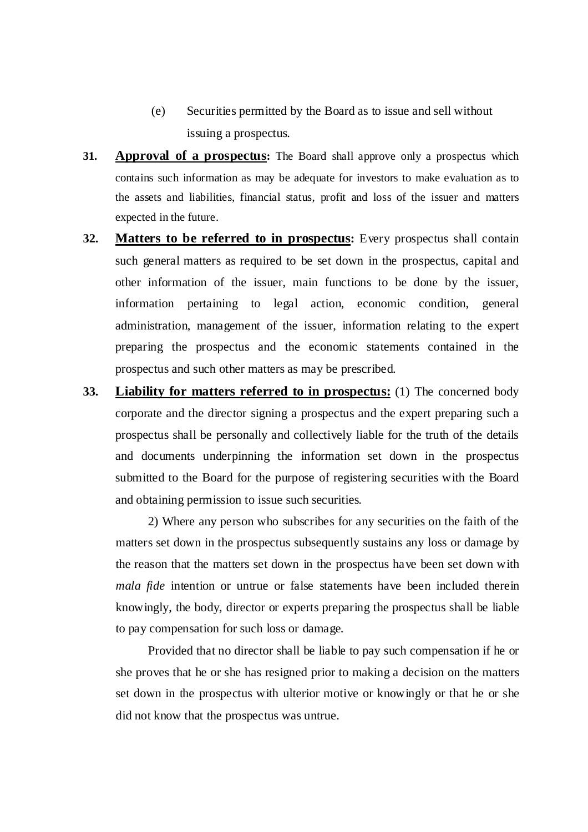- (e) Securities permitted by the Board as to issue and sell without issuing a prospectus.
- **31. Approval of a prospectus:** The Board shall approve only a prospectus which contains such information as may be adequate for investors to make evaluation as to the assets and liabilities, financial status, profit and loss of the issuer and matters expected in the future.
- **32. Matters to be referred to in prospectus:** Every prospectus shall contain such general matters as required to be set down in the prospectus, capital and other information of the issuer, main functions to be done by the issuer, information pertaining to legal action, economic condition, general administration, management of the issuer, information relating to the expert preparing the prospectus and the economic statements contained in the prospectus and such other matters as may be prescribed.
- **33. Liability for matters referred to in prospectus:** (1) The concerned body corporate and the director signing a prospectus and the expert preparing such a prospectus shall be personally and collectively liable for the truth of the details and documents underpinning the information set down in the prospectus submitted to the Board for the purpose of registering securities with the Board and obtaining permission to issue such securities.

2) Where any person who subscribes for any securities on the faith of the matters set down in the prospectus subsequently sustains any loss or damage by the reason that the matters set down in the prospectus have been set down with *mala fide* intention or untrue or false statements have been included therein knowingly, the body, director or experts preparing the prospectus shall be liable to pay compensation for such loss or damage.

Provided that no director shall be liable to pay such compensation if he or she proves that he or she has resigned prior to making a decision on the matters set down in the prospectus with ulterior motive or knowingly or that he or she did not know that the prospectus was untrue.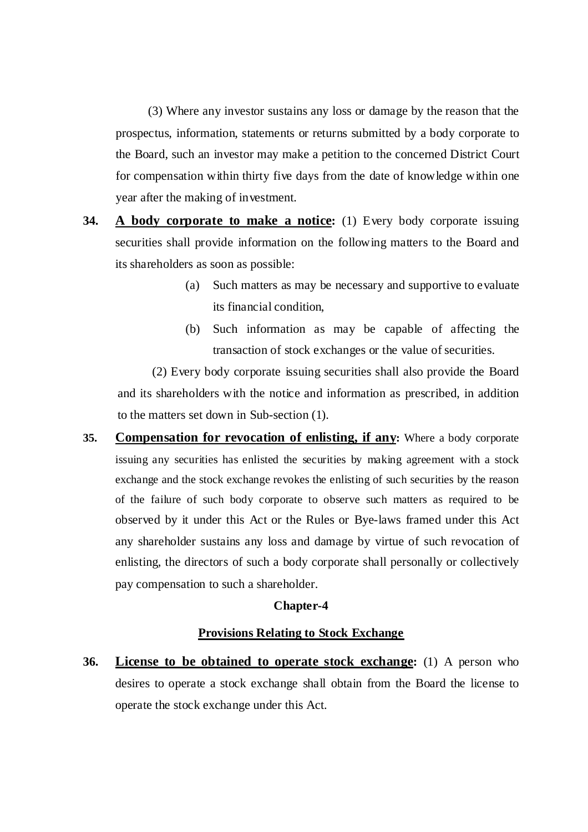(3) Where any investor sustains any loss or damage by the reason that the prospectus, information, statements or returns submitted by a body corporate to the Board, such an investor may make a petition to the concerned District Court for compensation within thirty five days from the date of knowledge within one year after the making of investment.

- **34. A body corporate to make a notice:** (1) Every body corporate issuing securities shall provide information on the following matters to the Board and its shareholders as soon as possible:
	- (a) Such matters as may be necessary and supportive to evaluate its financial condition,
	- (b) Such information as may be capable of affecting the transaction of stock exchanges or the value of securities.

 (2) Every body corporate issuing securities shall also provide the Board and its shareholders with the notice and information as prescribed, in addition to the matters set down in Sub-section (1).

**35. Compensation for revocation of enlisting, if any:** Where a body corporate issuing any securities has enlisted the securities by making agreement with a stock exchange and the stock exchange revokes the enlisting of such securities by the reason of the failure of such body corporate to observe such matters as required to be observed by it under this Act or the Rules or Bye-laws framed under this Act any shareholder sustains any loss and damage by virtue of such revocation of enlisting, the directors of such a body corporate shall personally or collectively pay compensation to such a shareholder.

#### **Chapter-4**

#### **Provisions Relating to Stock Exchange**

**36. License to be obtained to operate stock exchange:** (1) A person who desires to operate a stock exchange shall obtain from the Board the license to operate the stock exchange under this Act.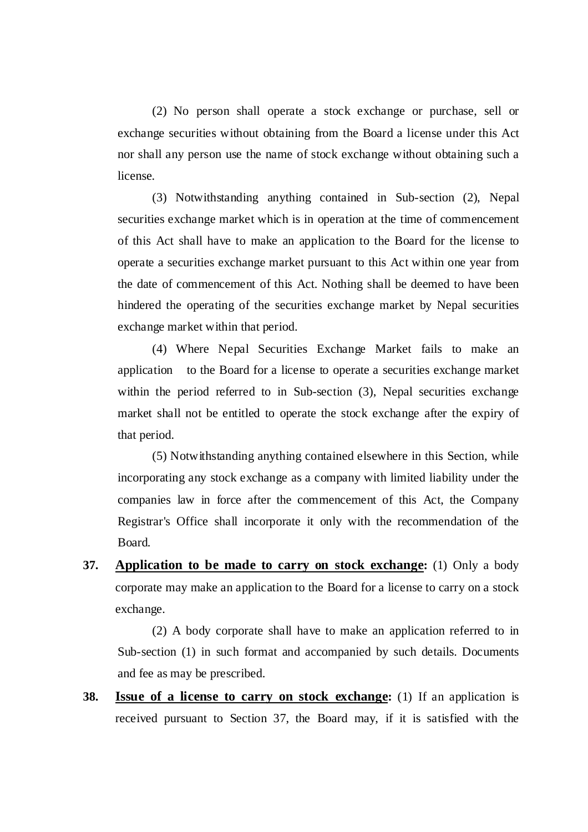(2) No person shall operate a stock exchange or purchase, sell or exchange securities without obtaining from the Board a license under this Act nor shall any person use the name of stock exchange without obtaining such a license.

 (3) Notwithstanding anything contained in Sub-section (2), Nepal securities exchange market which is in operation at the time of commencement of this Act shall have to make an application to the Board for the license to operate a securities exchange market pursuant to this Act within one year from the date of commencement of this Act. Nothing shall be deemed to have been hindered the operating of the securities exchange market by Nepal securities exchange market within that period.

 (4) Where Nepal Securities Exchange Market fails to make an application to the Board for a license to operate a securities exchange market within the period referred to in Sub-section (3), Nepal securities exchange market shall not be entitled to operate the stock exchange after the expiry of that period.

 (5) Notwithstanding anything contained elsewhere in this Section, while incorporating any stock exchange as a company with limited liability under the companies law in force after the commencement of this Act, the Company Registrar's Office shall incorporate it only with the recommendation of the Board.

**37. Application to be made to carry on stock exchange:** (1) Only a body corporate may make an application to the Board for a license to carry on a stock exchange.

 (2) A body corporate shall have to make an application referred to in Sub-section (1) in such format and accompanied by such details. Documents and fee as may be prescribed.

**38. Issue of a license to carry on stock exchange:** (1) If an application is received pursuant to Section 37, the Board may, if it is satisfied with the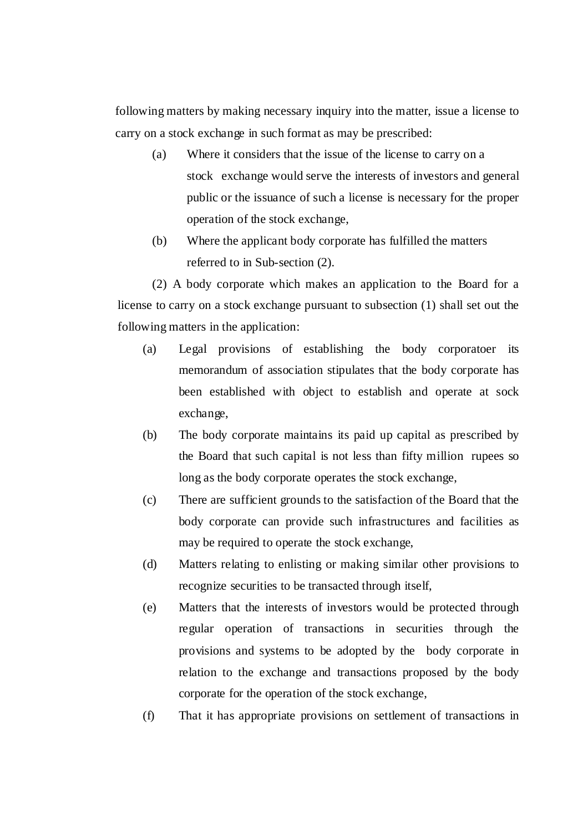following matters by making necessary inquiry into the matter, issue a license to carry on a stock exchange in such format as may be prescribed:

- (a) Where it considers that the issue of the license to carry on a stock exchange would serve the interests of investors and general public or the issuance of such a license is necessary for the proper operation of the stock exchange,
- (b) Where the applicant body corporate has fulfilled the matters referred to in Sub-section (2).

 (2) A body corporate which makes an application to the Board for a license to carry on a stock exchange pursuant to subsection (1) shall set out the following matters in the application:

- (a) Legal provisions of establishing the body corporatoer its memorandum of association stipulates that the body corporate has been established with object to establish and operate at sock exchange,
- (b) The body corporate maintains its paid up capital as prescribed by the Board that such capital is not less than fifty million rupees so long as the body corporate operates the stock exchange,
- (c) There are sufficient grounds to the satisfaction of the Board that the body corporate can provide such infrastructures and facilities as may be required to operate the stock exchange,
- (d) Matters relating to enlisting or making similar other provisions to recognize securities to be transacted through itself,
- (e) Matters that the interests of investors would be protected through regular operation of transactions in securities through the provisions and systems to be adopted by the body corporate in relation to the exchange and transactions proposed by the body corporate for the operation of the stock exchange,
- (f) That it has appropriate provisions on settlement of transactions in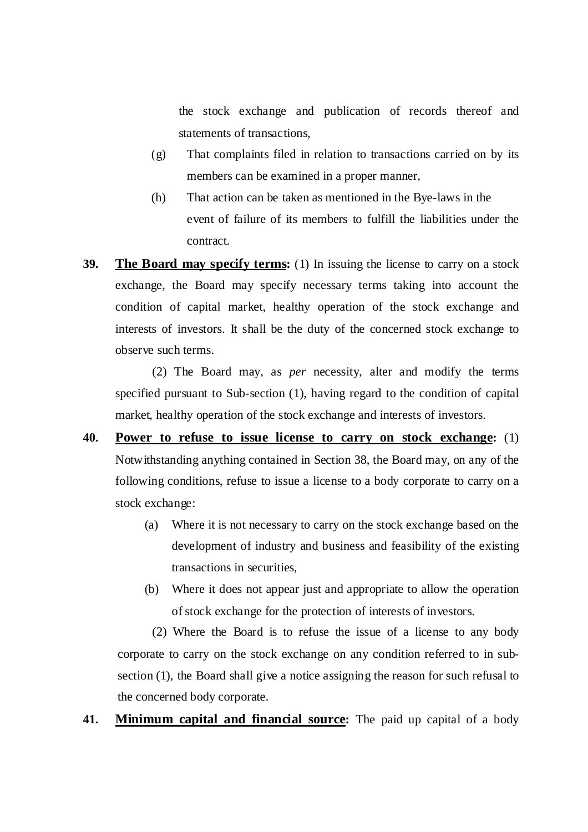the stock exchange and publication of records thereof and statements of transactions,

- (g) That complaints filed in relation to transactions carried on by its members can be examined in a proper manner,
- (h) That action can be taken as mentioned in the Bye-laws in the event of failure of its members to fulfill the liabilities under the contract.
- **39. The Board may specify terms:** (1) In issuing the license to carry on a stock exchange, the Board may specify necessary terms taking into account the condition of capital market, healthy operation of the stock exchange and interests of investors. It shall be the duty of the concerned stock exchange to observe such terms.

(2) The Board may, as *per* necessity, alter and modify the terms specified pursuant to Sub-section (1), having regard to the condition of capital market, healthy operation of the stock exchange and interests of investors.

- **40. Power to refuse to issue license to carry on stock exchange:** (1) Notwithstanding anything contained in Section 38, the Board may, on any of the following conditions, refuse to issue a license to a body corporate to carry on a stock exchange:
	- (a) Where it is not necessary to carry on the stock exchange based on the development of industry and business and feasibility of the existing transactions in securities,
	- (b) Where it does not appear just and appropriate to allow the operation of stock exchange for the protection of interests of investors.

 (2) Where the Board is to refuse the issue of a license to any body corporate to carry on the stock exchange on any condition referred to in sub section (1), the Board shall give a notice assigning the reason for such refusal to the concerned body corporate.

#### **41. Minimum capital and financial source:** The paid up capital of a body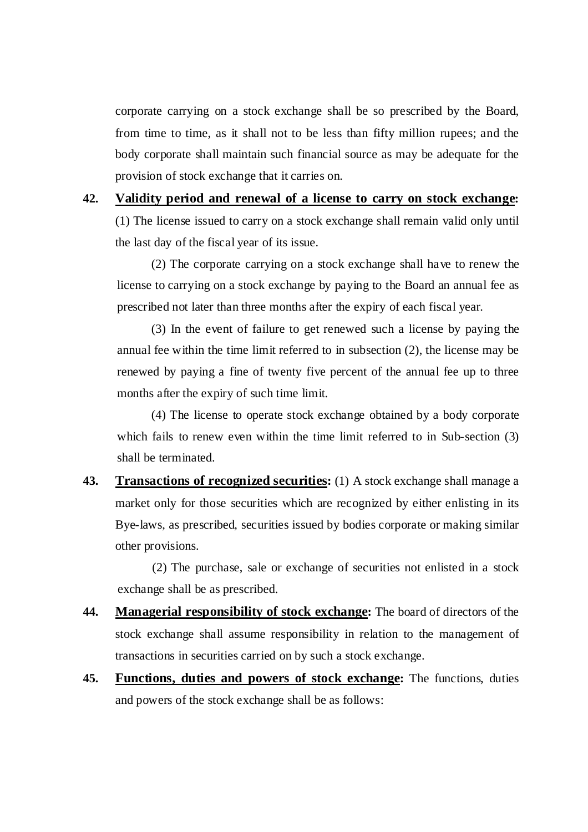corporate carrying on a stock exchange shall be so prescribed by the Board, from time to time, as it shall not to be less than fifty million rupees; and the body corporate shall maintain such financial source as may be adequate for the provision of stock exchange that it carries on.

**42. Validity period and renewal of a license to carry on stock exchange:**  (1) The license issued to carry on a stock exchange shall remain valid only until the last day of the fiscal year of its issue.

(2) The corporate carrying on a stock exchange shall have to renew the license to carrying on a stock exchange by paying to the Board an annual fee as prescribed not later than three months after the expiry of each fiscal year.

(3) In the event of failure to get renewed such a license by paying the annual fee within the time limit referred to in subsection (2), the license may be renewed by paying a fine of twenty five percent of the annual fee up to three months after the expiry of such time limit.

(4) The license to operate stock exchange obtained by a body corporate which fails to renew even within the time limit referred to in Sub-section (3) shall be terminated.

**43. Transactions of recognized securities:** (1) A stock exchange shall manage a market only for those securities which are recognized by either enlisting in its Bye-laws, as prescribed, securities issued by bodies corporate or making similar other provisions.

 (2) The purchase, sale or exchange of securities not enlisted in a stock exchange shall be as prescribed.

- **44. Managerial responsibility of stock exchange:** The board of directors of the stock exchange shall assume responsibility in relation to the management of transactions in securities carried on by such a stock exchange.
- **45. Functions, duties and powers of stock exchange:** The functions, duties and powers of the stock exchange shall be as follows: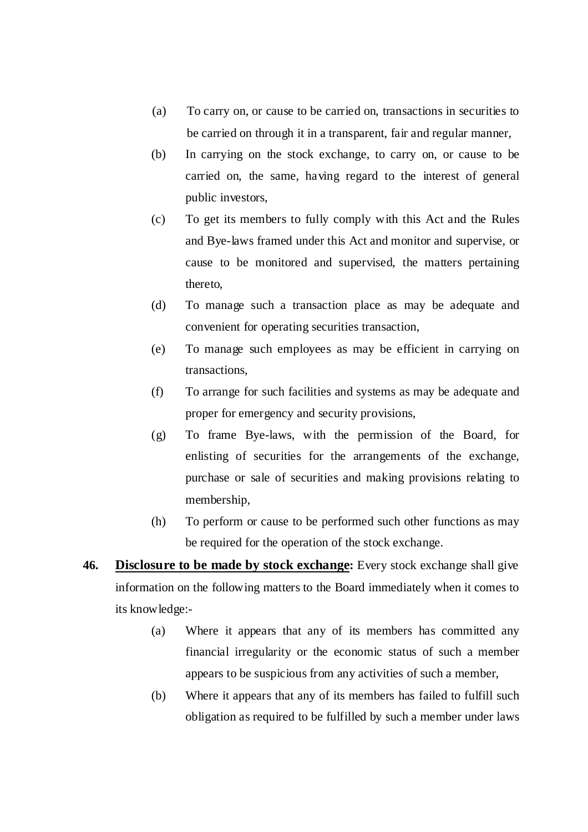- (a) To carry on, or cause to be carried on, transactions in securities to be carried on through it in a transparent, fair and regular manner,
- (b) In carrying on the stock exchange, to carry on, or cause to be carried on, the same, having regard to the interest of general public investors,
- (c) To get its members to fully comply with this Act and the Rules and Bye-laws framed under this Act and monitor and supervise, or cause to be monitored and supervised, the matters pertaining thereto,
- (d) To manage such a transaction place as may be adequate and convenient for operating securities transaction,
- (e) To manage such employees as may be efficient in carrying on transactions,
- (f) To arrange for such facilities and systems as may be adequate and proper for emergency and security provisions,
- (g) To frame Bye-laws, with the permission of the Board, for enlisting of securities for the arrangements of the exchange, purchase or sale of securities and making provisions relating to membership,
- (h) To perform or cause to be performed such other functions as may be required for the operation of the stock exchange.
- **46. Disclosure to be made by stock exchange:** Every stock exchange shall give information on the following matters to the Board immediately when it comes to its knowledge:-
	- (a) Where it appears that any of its members has committed any financial irregularity or the economic status of such a member appears to be suspicious from any activities of such a member,
	- (b) Where it appears that any of its members has failed to fulfill such obligation as required to be fulfilled by such a member under laws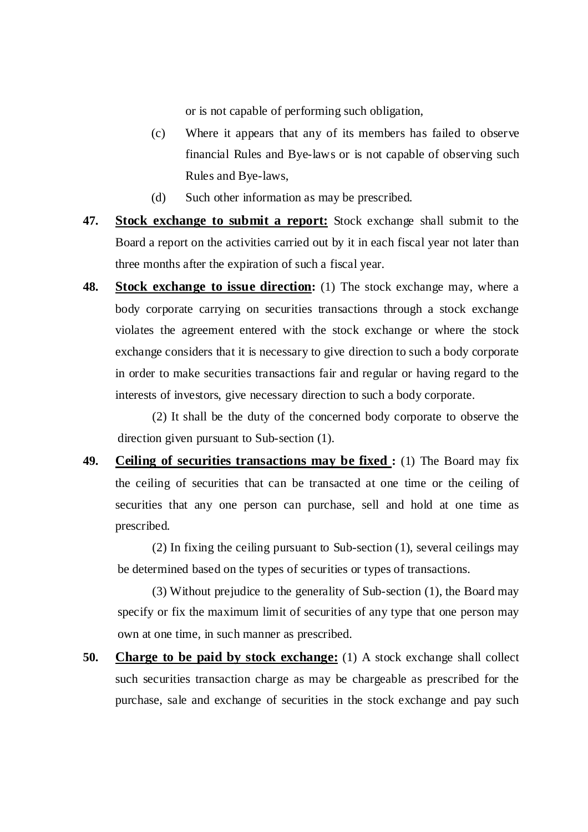or is not capable of performing such obligation,

- (c) Where it appears that any of its members has failed to observe financial Rules and Bye-laws or is not capable of observing such Rules and Bye-laws,
- (d) Such other information as may be prescribed.
- **47. Stock exchange to submit a report:** Stock exchange shall submit to the Board a report on the activities carried out by it in each fiscal year not later than three months after the expiration of such a fiscal year.
- **48. Stock exchange to issue direction:** (1) The stock exchange may, where a body corporate carrying on securities transactions through a stock exchange violates the agreement entered with the stock exchange or where the stock exchange considers that it is necessary to give direction to such a body corporate in order to make securities transactions fair and regular or having regard to the interests of investors, give necessary direction to such a body corporate.

 (2) It shall be the duty of the concerned body corporate to observe the direction given pursuant to Sub-section (1).

**49. Ceiling of securities transactions may be fixed :** (1) The Board may fix the ceiling of securities that can be transacted at one time or the ceiling of securities that any one person can purchase, sell and hold at one time as prescribed.

 (2) In fixing the ceiling pursuant to Sub-section (1), several ceilings may be determined based on the types of securities or types of transactions.

 (3) Without prejudice to the generality of Sub-section (1), the Board may specify or fix the maximum limit of securities of any type that one person may own at one time, in such manner as prescribed.

**50. Charge to be paid by stock exchange:** (1) A stock exchange shall collect such securities transaction charge as may be chargeable as prescribed for the purchase, sale and exchange of securities in the stock exchange and pay such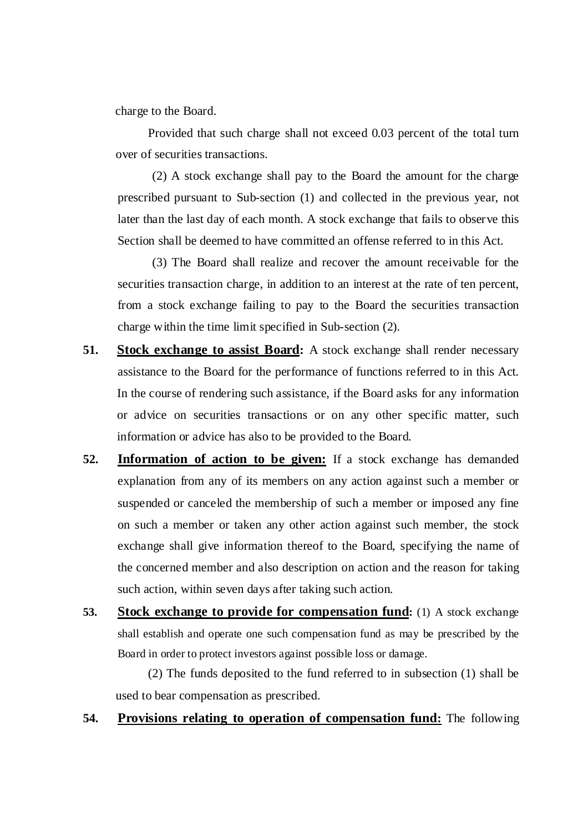charge to the Board.

Provided that such charge shall not exceed 0.03 percent of the total turn over of securities transactions.

 (2) A stock exchange shall pay to the Board the amount for the charge prescribed pursuant to Sub-section (1) and collected in the previous year, not later than the last day of each month. A stock exchange that fails to observe this Section shall be deemed to have committed an offense referred to in this Act.

 (3) The Board shall realize and recover the amount receivable for the securities transaction charge, in addition to an interest at the rate of ten percent, from a stock exchange failing to pay to the Board the securities transaction charge within the time limit specified in Sub-section (2).

- **51. Stock exchange to assist Board:** A stock exchange shall render necessary assistance to the Board for the performance of functions referred to in this Act. In the course of rendering such assistance, if the Board asks for any information or advice on securities transactions or on any other specific matter, such information or advice has also to be provided to the Board.
- **52. Information of action to be given:** If a stock exchange has demanded explanation from any of its members on any action against such a member or suspended or canceled the membership of such a member or imposed any fine on such a member or taken any other action against such member, the stock exchange shall give information thereof to the Board, specifying the name of the concerned member and also description on action and the reason for taking such action, within seven days after taking such action.
- **53. Stock exchange to provide for compensation fund:** (1) A stock exchange shall establish and operate one such compensation fund as may be prescribed by the Board in order to protect investors against possible loss or damage.

(2) The funds deposited to the fund referred to in subsection (1) shall be used to bear compensation as prescribed.

#### **54. Provisions relating to operation of compensation fund:** The following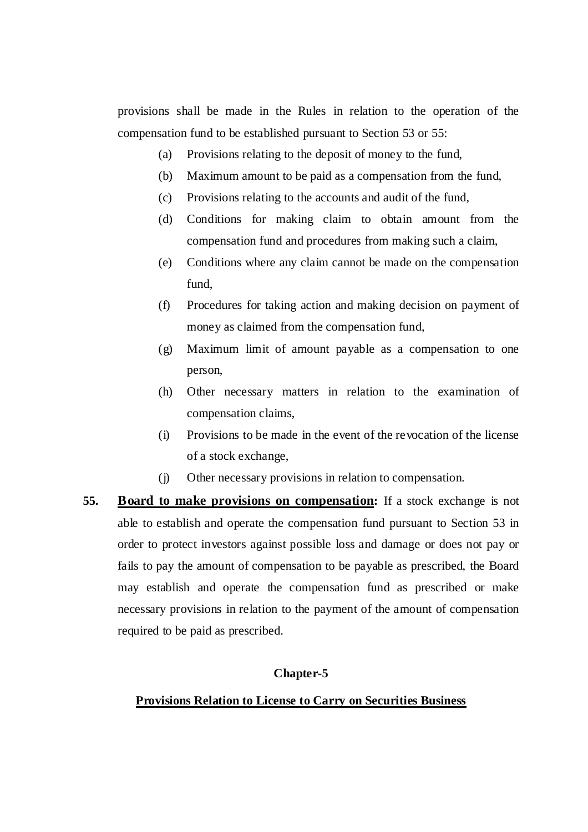provisions shall be made in the Rules in relation to the operation of the compensation fund to be established pursuant to Section 53 or 55:

- (a) Provisions relating to the deposit of money to the fund,
- (b) Maximum amount to be paid as a compensation from the fund,
- (c) Provisions relating to the accounts and audit of the fund,
- (d) Conditions for making claim to obtain amount from the compensation fund and procedures from making such a claim,
- (e) Conditions where any claim cannot be made on the compensation fund,
- (f) Procedures for taking action and making decision on payment of money as claimed from the compensation fund,
- (g) Maximum limit of amount payable as a compensation to one person,
- (h) Other necessary matters in relation to the examination of compensation claims,
- (i) Provisions to be made in the event of the revocation of the license of a stock exchange,
- (j) Other necessary provisions in relation to compensation.
- **55. Board to make provisions on compensation:** If a stock exchange is not able to establish and operate the compensation fund pursuant to Section 53 in order to protect investors against possible loss and damage or does not pay or fails to pay the amount of compensation to be payable as prescribed, the Board may establish and operate the compensation fund as prescribed or make necessary provisions in relation to the payment of the amount of compensation required to be paid as prescribed.

#### **Chapter-5**

#### **Provisions Relation to License to Carry on Securities Business**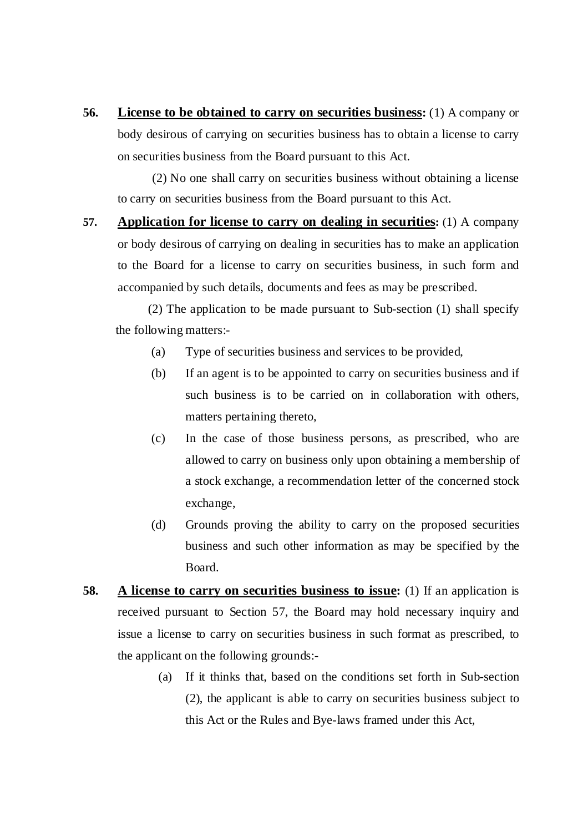**56. License to be obtained to carry on securities business:** (1) A company or body desirous of carrying on securities business has to obtain a license to carry on securities business from the Board pursuant to this Act.

 (2) No one shall carry on securities business without obtaining a license to carry on securities business from the Board pursuant to this Act.

**57. Application for license to carry on dealing in securities:** (1) A company or body desirous of carrying on dealing in securities has to make an application to the Board for a license to carry on securities business, in such form and accompanied by such details, documents and fees as may be prescribed.

(2) The application to be made pursuant to Sub-section (1) shall specify the following matters:-

- (a) Type of securities business and services to be provided,
- (b) If an agent is to be appointed to carry on securities business and if such business is to be carried on in collaboration with others, matters pertaining thereto,
- (c) In the case of those business persons, as prescribed, who are allowed to carry on business only upon obtaining a membership of a stock exchange, a recommendation letter of the concerned stock exchange,
- (d) Grounds proving the ability to carry on the proposed securities business and such other information as may be specified by the Board.
- **58. A license to carry on securities business to issue:** (1) If an application is received pursuant to Section 57, the Board may hold necessary inquiry and issue a license to carry on securities business in such format as prescribed, to the applicant on the following grounds:-
	- (a) If it thinks that, based on the conditions set forth in Sub-section (2), the applicant is able to carry on securities business subject to this Act or the Rules and Bye-laws framed under this Act,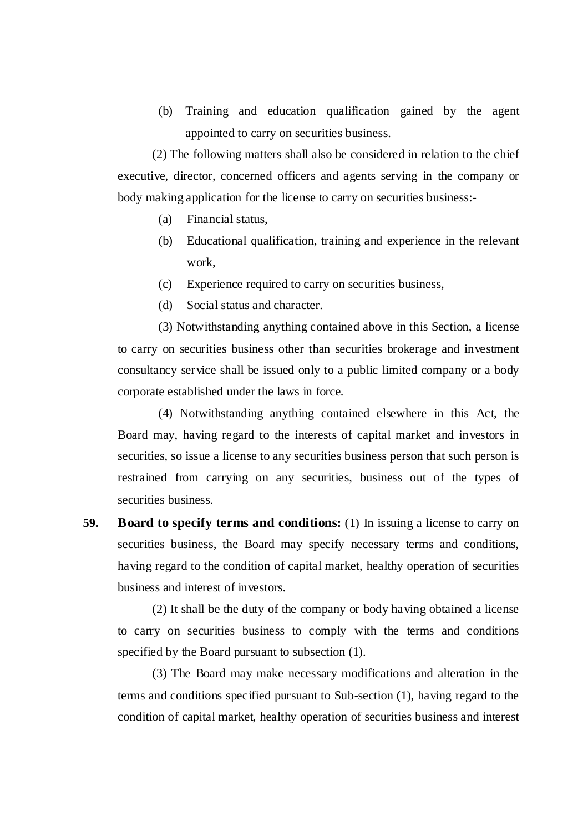(b) Training and education qualification gained by the agent appointed to carry on securities business.

 (2) The following matters shall also be considered in relation to the chief executive, director, concerned officers and agents serving in the company or body making application for the license to carry on securities business:-

- (a) Financial status,
- (b) Educational qualification, training and experience in the relevant work,
- (c) Experience required to carry on securities business,
- (d) Social status and character.

(3) Notwithstanding anything contained above in this Section, a license to carry on securities business other than securities brokerage and investment consultancy service shall be issued only to a public limited company or a body corporate established under the laws in force.

(4) Notwithstanding anything contained elsewhere in this Act, the Board may, having regard to the interests of capital market and investors in securities, so issue a license to any securities business person that such person is restrained from carrying on any securities, business out of the types of securities business.

**59. Board to specify terms and conditions:** (1) In issuing a license to carry on securities business, the Board may specify necessary terms and conditions, having regard to the condition of capital market, healthy operation of securities business and interest of investors.

 (2) It shall be the duty of the company or body having obtained a license to carry on securities business to comply with the terms and conditions specified by the Board pursuant to subsection (1).

 (3) The Board may make necessary modifications and alteration in the terms and conditions specified pursuant to Sub-section (1), having regard to the condition of capital market, healthy operation of securities business and interest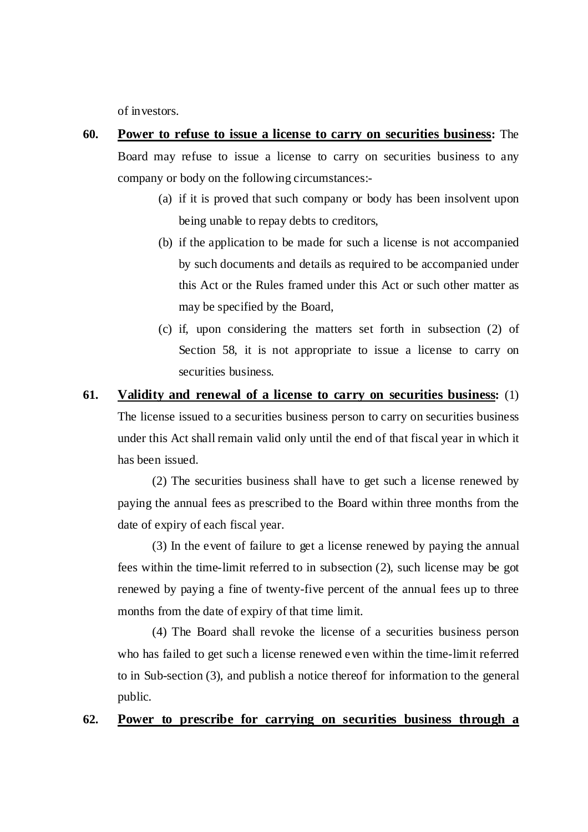of investors.

- **60. Power to refuse to issue a license to carry on securities business:** The Board may refuse to issue a license to carry on securities business to any company or body on the following circumstances:-
	- (a) if it is proved that such company or body has been insolvent upon being unable to repay debts to creditors,
	- (b) if the application to be made for such a license is not accompanied by such documents and details as required to be accompanied under this Act or the Rules framed under this Act or such other matter as may be specified by the Board,
	- (c) if, upon considering the matters set forth in subsection (2) of Section 58, it is not appropriate to issue a license to carry on securities business.

#### **61. Validity and renewal of a license to carry on securities business:** (1)

The license issued to a securities business person to carry on securities business under this Act shall remain valid only until the end of that fiscal year in which it has been issued.

 (2) The securities business shall have to get such a license renewed by paying the annual fees as prescribed to the Board within three months from the date of expiry of each fiscal year.

 (3) In the event of failure to get a license renewed by paying the annual fees within the time-limit referred to in subsection (2), such license may be got renewed by paying a fine of twenty-five percent of the annual fees up to three months from the date of expiry of that time limit.

 (4) The Board shall revoke the license of a securities business person who has failed to get such a license renewed even within the time-limit referred to in Sub-section (3), and publish a notice thereof for information to the general public.

#### **62. Power to prescribe for carrying on securities business through a**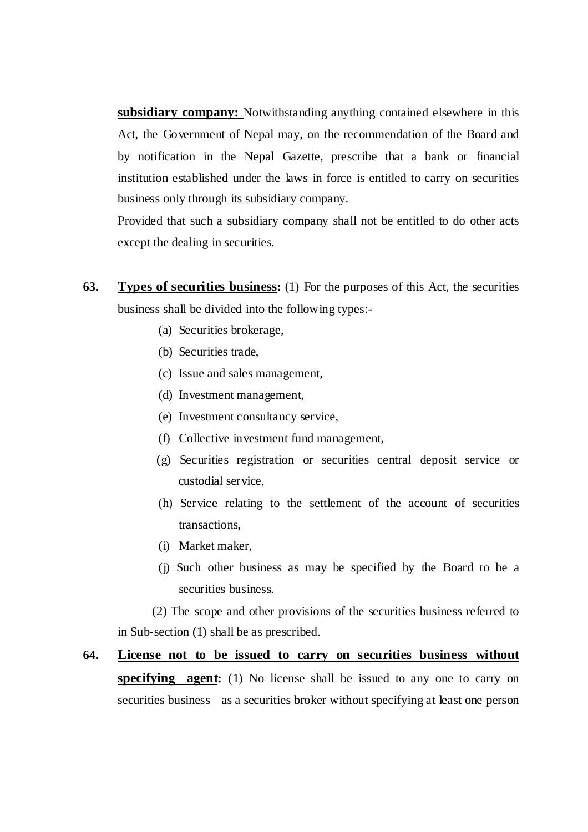**subsidiary company:** Notwithstanding anything contained elsewhere in this Act, the Government of Nepal may, on the recommendation of the Board and by notification in the Nepal Gazette, prescribe that a bank or financial institution established under the laws in force is entitled to carry on securities business only through its subsidiary company.

 Provided that such a subsidiary company shall not be entitled to do other acts except the dealing in securities.

- **63. Types of securities business:** (1) For the purposes of this Act, the securities business shall be divided into the following types:-
	- (a) Securities brokerage,
	- (b) Securities trade,
	- (c) Issue and sales management,
	- (d) Investment management,
	- (e) Investment consultancy service,
	- (f) Collective investment fund management,
	- (g) Securities registration or securities central deposit service or custodial service,
	- (h) Service relating to the settlement of the account of securities transactions,
	- (i) Market maker,
	- (j) Such other business as may be specified by the Board to be a securities business.

 (2) The scope and other provisions of the securities business referred to in Sub-section (1) shall be as prescribed.

**64. License not to be issued to carry on securities business without specifying agent:** (1) No license shall be issued to any one to carry on securities business as a securities broker without specifying at least one person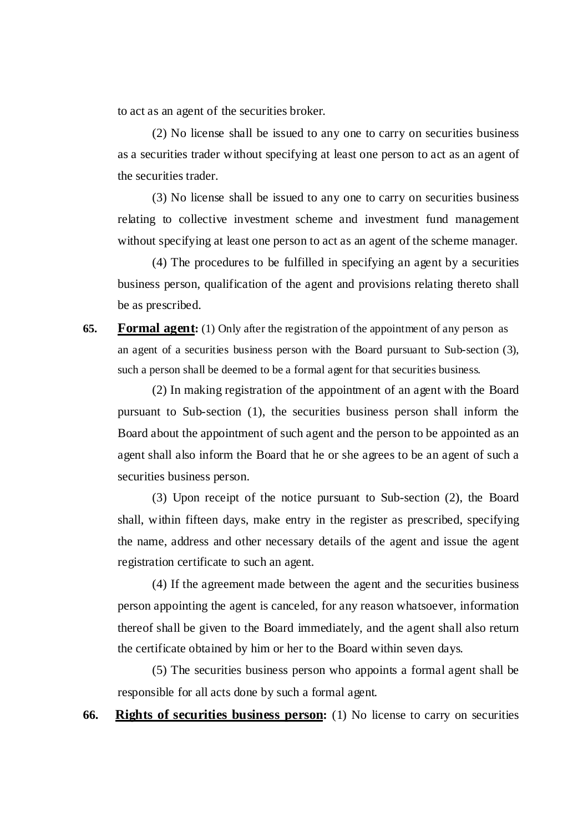to act as an agent of the securities broker.

 (2) No license shall be issued to any one to carry on securities business as a securities trader without specifying at least one person to act as an agent of the securities trader.

 (3) No license shall be issued to any one to carry on securities business relating to collective investment scheme and investment fund management without specifying at least one person to act as an agent of the scheme manager.

 (4) The procedures to be fulfilled in specifying an agent by a securities business person, qualification of the agent and provisions relating thereto shall be as prescribed.

**65. Formal agent:** (1) Only after the registration of the appointment of any person as an agent of a securities business person with the Board pursuant to Sub-section (3), such a person shall be deemed to be a formal agent for that securities business.

 (2) In making registration of the appointment of an agent with the Board pursuant to Sub-section (1), the securities business person shall inform the Board about the appointment of such agent and the person to be appointed as an agent shall also inform the Board that he or she agrees to be an agent of such a securities business person.

 (3) Upon receipt of the notice pursuant to Sub-section (2), the Board shall, within fifteen days, make entry in the register as prescribed, specifying the name, address and other necessary details of the agent and issue the agent registration certificate to such an agent.

 (4) If the agreement made between the agent and the securities business person appointing the agent is canceled, for any reason whatsoever, information thereof shall be given to the Board immediately, and the agent shall also return the certificate obtained by him or her to the Board within seven days.

 (5) The securities business person who appoints a formal agent shall be responsible for all acts done by such a formal agent.

**66. Rights of securities business person:** (1) No license to carry on securities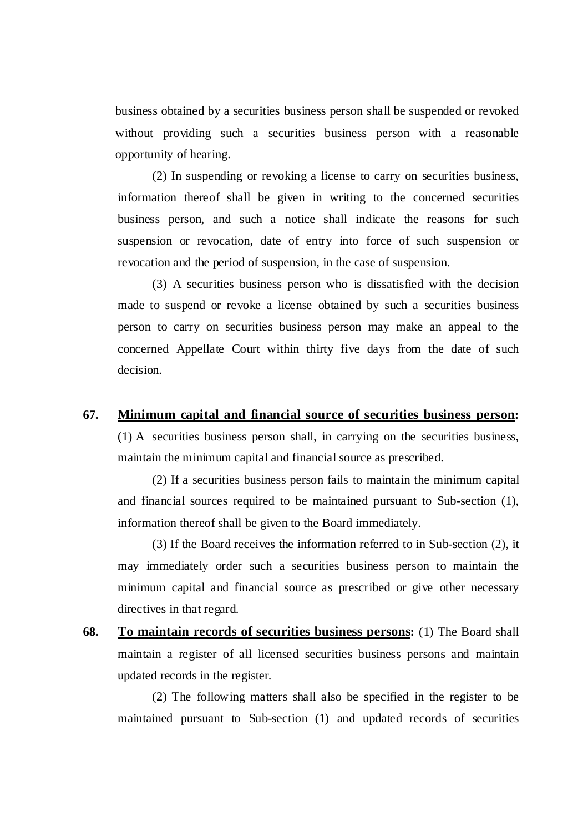business obtained by a securities business person shall be suspended or revoked without providing such a securities business person with a reasonable opportunity of hearing.

 (2) In suspending or revoking a license to carry on securities business, information thereof shall be given in writing to the concerned securities business person, and such a notice shall indicate the reasons for such suspension or revocation, date of entry into force of such suspension or revocation and the period of suspension, in the case of suspension.

 (3) A securities business person who is dissatisfied with the decision made to suspend or revoke a license obtained by such a securities business person to carry on securities business person may make an appeal to the concerned Appellate Court within thirty five days from the date of such decision.

#### **67. Minimum capital and financial source of securities business person:**

(1) A securities business person shall, in carrying on the securities business, maintain the minimum capital and financial source as prescribed.

 (2) If a securities business person fails to maintain the minimum capital and financial sources required to be maintained pursuant to Sub-section (1), information thereof shall be given to the Board immediately.

 (3) If the Board receives the information referred to in Sub-section (2), it may immediately order such a securities business person to maintain the minimum capital and financial source as prescribed or give other necessary directives in that regard.

**68. To maintain records of securities business persons:** (1) The Board shall maintain a register of all licensed securities business persons and maintain updated records in the register.

 (2) The following matters shall also be specified in the register to be maintained pursuant to Sub-section (1) and updated records of securities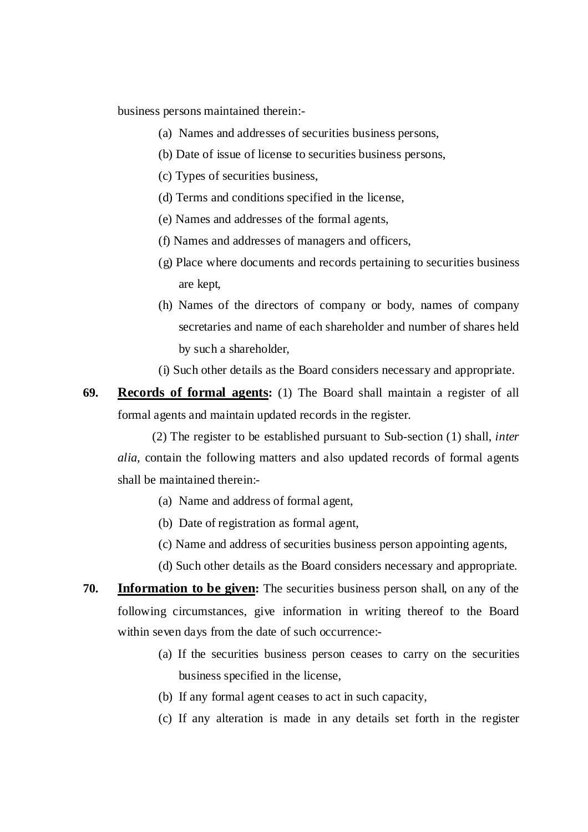business persons maintained therein:-

- (a) Names and addresses of securities business persons,
- (b) Date of issue of license to securities business persons,
- (c) Types of securities business,
- (d) Terms and conditions specified in the license,
- (e) Names and addresses of the formal agents,
- (f) Names and addresses of managers and officers,
- (g) Place where documents and records pertaining to securities business are kept,
- (h) Names of the directors of company or body, names of company secretaries and name of each shareholder and number of shares held by such a shareholder,
- (i) Such other details as the Board considers necessary and appropriate.
- **69. Records of formal agents:** (1) The Board shall maintain a register of all formal agents and maintain updated records in the register.

 (2) The register to be established pursuant to Sub-section (1) shall, *inter alia,* contain the following matters and also updated records of formal agents shall be maintained therein:-

- (a) Name and address of formal agent,
- (b) Date of registration as formal agent,
- (c) Name and address of securities business person appointing agents,
- (d) Such other details as the Board considers necessary and appropriate.
- **70. Information to be given:** The securities business person shall, on any of the following circumstances, give information in writing thereof to the Board within seven days from the date of such occurrence:-
	- (a) If the securities business person ceases to carry on the securities business specified in the license,
	- (b) If any formal agent ceases to act in such capacity,
	- (c) If any alteration is made in any details set forth in the register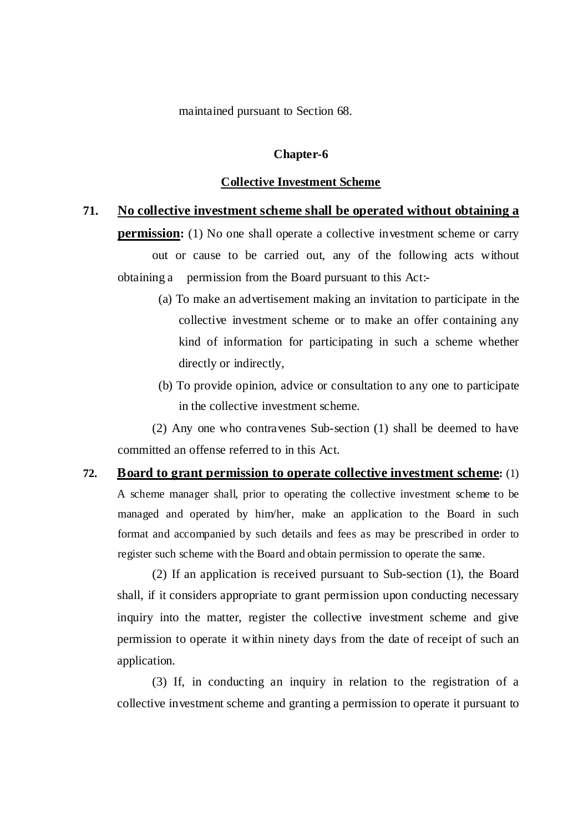maintained pursuant to Section 68.

#### **Chapter-6**

#### **Collective Investment Scheme**

#### **71. No collective investment scheme shall be operated without obtaining a**

**permission:** (1) No one shall operate a collective investment scheme or carry out or cause to be carried out, any of the following acts without obtaining a permission from the Board pursuant to this Act:-

- (a) To make an advertisement making an invitation to participate in the collective investment scheme or to make an offer containing any kind of information for participating in such a scheme whether directly or indirectly,
- (b) To provide opinion, advice or consultation to any one to participate in the collective investment scheme.

 (2) Any one who contravenes Sub-section (1) shall be deemed to have committed an offense referred to in this Act.

**72. Board to grant permission to operate collective investment scheme:** (1) A scheme manager shall, prior to operating the collective investment scheme to be managed and operated by him/her, make an application to the Board in such format and accompanied by such details and fees as may be prescribed in order to register such scheme with the Board and obtain permission to operate the same.

 (2) If an application is received pursuant to Sub-section (1), the Board shall, if it considers appropriate to grant permission upon conducting necessary inquiry into the matter, register the collective investment scheme and give permission to operate it within ninety days from the date of receipt of such an application.

 (3) If, in conducting an inquiry in relation to the registration of a collective investment scheme and granting a permission to operate it pursuant to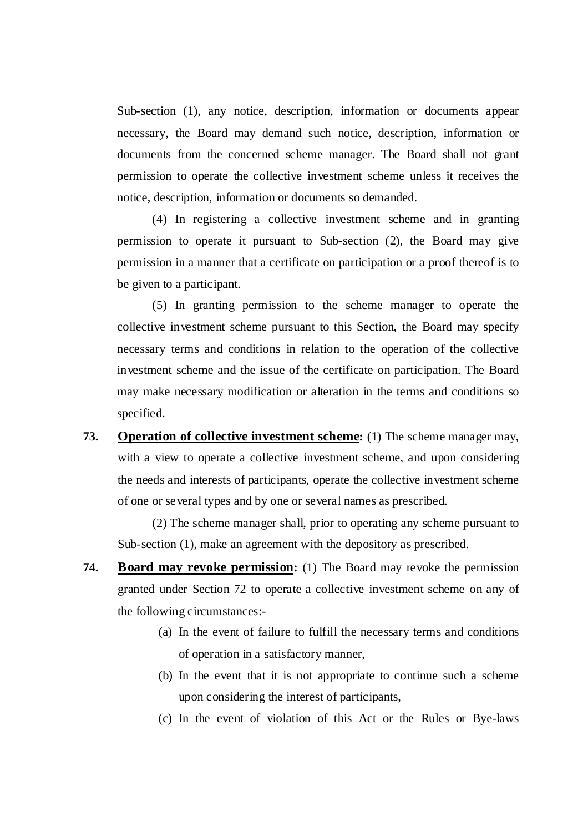Sub-section (1), any notice, description, information or documents appear necessary, the Board may demand such notice, description, information or documents from the concerned scheme manager. The Board shall not grant permission to operate the collective investment scheme unless it receives the notice, description, information or documents so demanded.

 (4) In registering a collective investment scheme and in granting permission to operate it pursuant to Sub-section (2), the Board may give permission in a manner that a certificate on participation or a proof thereof is to be given to a participant.

 (5) In granting permission to the scheme manager to operate the collective investment scheme pursuant to this Section, the Board may specify necessary terms and conditions in relation to the operation of the collective investment scheme and the issue of the certificate on participation. The Board may make necessary modification or alteration in the terms and conditions so specified.

**73. Operation of collective investment scheme:** (1) The scheme manager may, with a view to operate a collective investment scheme, and upon considering the needs and interests of participants, operate the collective investment scheme of one or several types and by one or several names as prescribed.

 (2) The scheme manager shall, prior to operating any scheme pursuant to Sub-section (1), make an agreement with the depository as prescribed.

- **74. Board may revoke permission:** (1) The Board may revoke the permission granted under Section 72 to operate a collective investment scheme on any of the following circumstances:-
	- (a) In the event of failure to fulfill the necessary terms and conditions of operation in a satisfactory manner,
	- (b) In the event that it is not appropriate to continue such a scheme upon considering the interest of participants,
	- (c) In the event of violation of this Act or the Rules or Bye-laws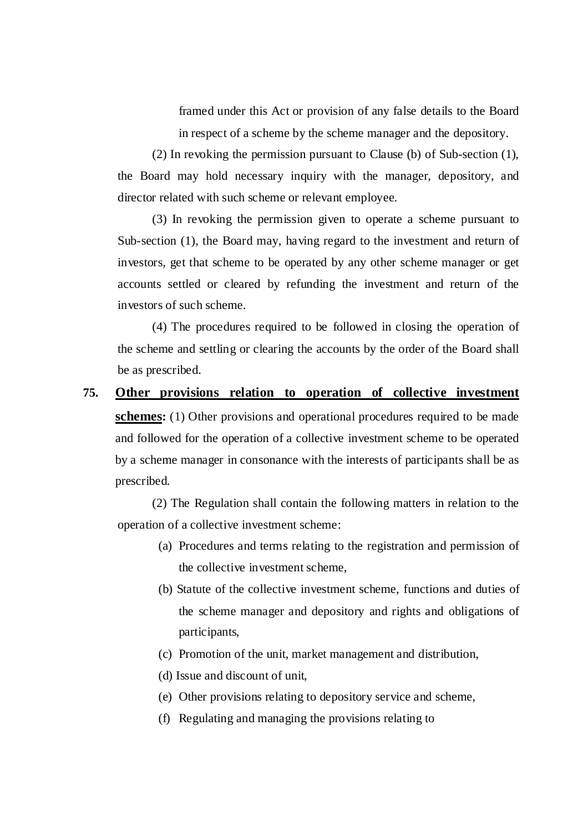framed under this Act or provision of any false details to the Board in respect of a scheme by the scheme manager and the depository.

 (2) In revoking the permission pursuant to Clause (b) of Sub-section (1), the Board may hold necessary inquiry with the manager, depository, and director related with such scheme or relevant employee.

 (3) In revoking the permission given to operate a scheme pursuant to Sub-section (1), the Board may, having regard to the investment and return of investors, get that scheme to be operated by any other scheme manager or get accounts settled or cleared by refunding the investment and return of the investors of such scheme.

 (4) The procedures required to be followed in closing the operation of the scheme and settling or clearing the accounts by the order of the Board shall be as prescribed.

## **75. Other provisions relation to operation of collective investment schemes:** (1) Other provisions and operational procedures required to be made

and followed for the operation of a collective investment scheme to be operated by a scheme manager in consonance with the interests of participants shall be as prescribed.

 (2) The Regulation shall contain the following matters in relation to the operation of a collective investment scheme:

- (a) Procedures and terms relating to the registration and permission of the collective investment scheme,
- (b) Statute of the collective investment scheme, functions and duties of the scheme manager and depository and rights and obligations of participants,
- (c) Promotion of the unit, market management and distribution,
- (d) Issue and discount of unit,
- (e) Other provisions relating to depository service and scheme,
- (f) Regulating and managing the provisions relating to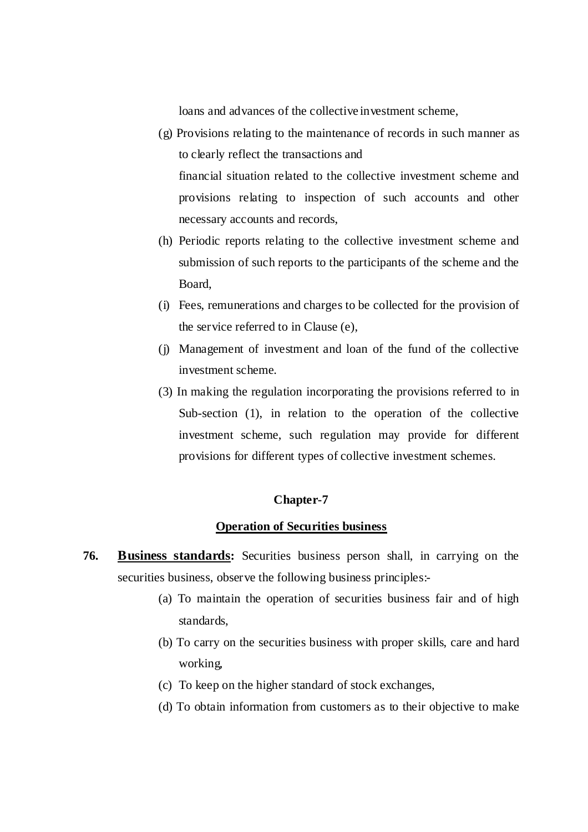loans and advances of the collective investment scheme,

- (g) Provisions relating to the maintenance of records in such manner as to clearly reflect the transactions and financial situation related to the collective investment scheme and provisions relating to inspection of such accounts and other necessary accounts and records,
- (h) Periodic reports relating to the collective investment scheme and submission of such reports to the participants of the scheme and the Board,
- (i) Fees, remunerations and charges to be collected for the provision of the service referred to in Clause (e),
- (j) Management of investment and loan of the fund of the collective investment scheme.
- (3) In making the regulation incorporating the provisions referred to in Sub-section (1), in relation to the operation of the collective investment scheme, such regulation may provide for different provisions for different types of collective investment schemes.

#### **Chapter-7**

#### **Operation of Securities business**

- **76. Business standards:** Securities business person shall, in carrying on the securities business, observe the following business principles:-
	- (a) To maintain the operation of securities business fair and of high standards,
	- (b) To carry on the securities business with proper skills, care and hard working,
	- (c) To keep on the higher standard of stock exchanges,
	- (d) To obtain information from customers as to their objective to make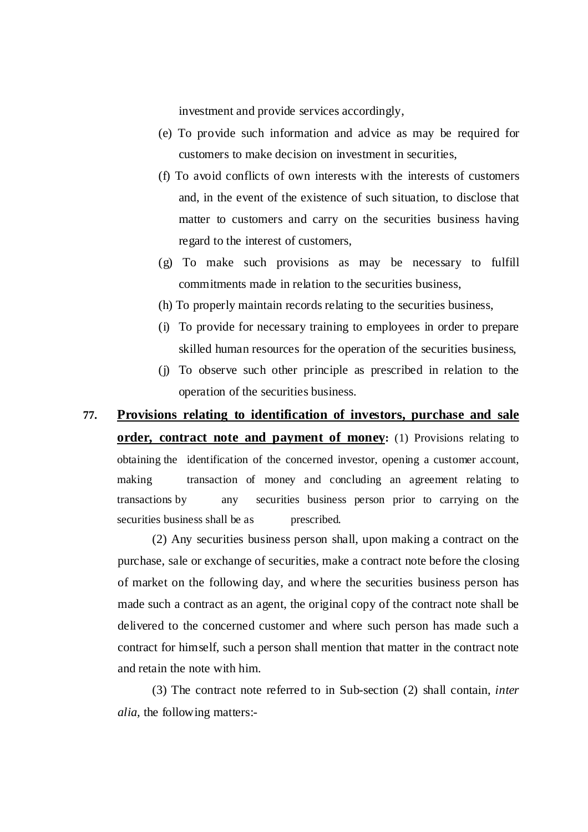investment and provide services accordingly,

- (e) To provide such information and advice as may be required for customers to make decision on investment in securities,
- (f) To avoid conflicts of own interests with the interests of customers and, in the event of the existence of such situation, to disclose that matter to customers and carry on the securities business having regard to the interest of customers,
- (g) To make such provisions as may be necessary to fulfill commitments made in relation to the securities business,
- (h) To properly maintain records relating to the securities business,
- (i) To provide for necessary training to employees in order to prepare skilled human resources for the operation of the securities business,
- (j) To observe such other principle as prescribed in relation to the operation of the securities business.
- **77. Provisions relating to identification of investors, purchase and sale order, contract note and payment of money:** (1) Provisions relating to obtaining the identification of the concerned investor, opening a customer account, making transaction of money and concluding an agreement relating to transactions by any securities business person prior to carrying on the securities business shall be as prescribed.

 (2) Any securities business person shall, upon making a contract on the purchase, sale or exchange of securities, make a contract note before the closing of market on the following day, and where the securities business person has made such a contract as an agent, the original copy of the contract note shall be delivered to the concerned customer and where such person has made such a contract for himself, such a person shall mention that matter in the contract note and retain the note with him.

 (3) The contract note referred to in Sub-section (2) shall contain, *inter alia,* the following matters:-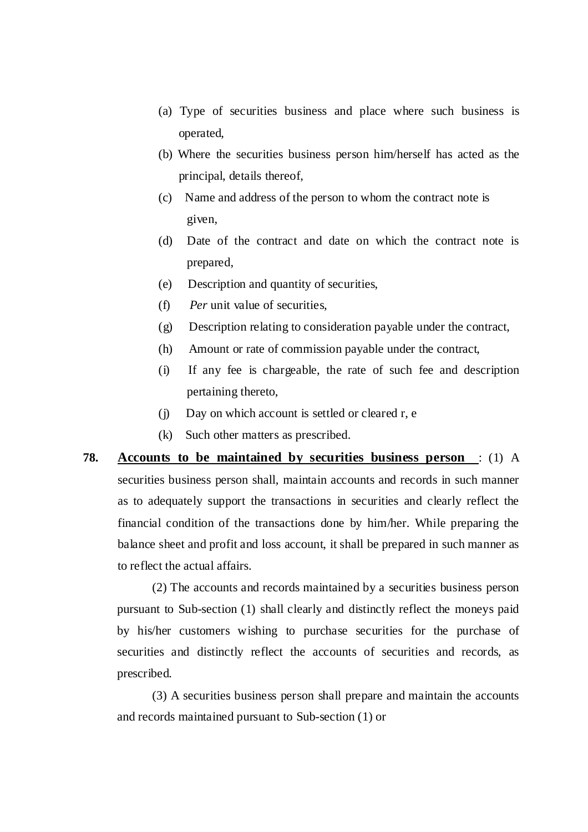- (a) Type of securities business and place where such business is operated,
- (b) Where the securities business person him/herself has acted as the principal, details thereof,
- (c) Name and address of the person to whom the contract note is given,
- (d) Date of the contract and date on which the contract note is prepared,
- (e) Description and quantity of securities,
- (f) *Per* unit value of securities,
- (g) Description relating to consideration payable under the contract,
- (h) Amount or rate of commission payable under the contract,
- (i) If any fee is chargeable, the rate of such fee and description pertaining thereto,
- (j) Day on which account is settled or cleared r, e
- (k) Such other matters as prescribed.
- **78. Accounts to be maintained by securities business person** : (1) A securities business person shall, maintain accounts and records in such manner as to adequately support the transactions in securities and clearly reflect the financial condition of the transactions done by him/her. While preparing the balance sheet and profit and loss account, it shall be prepared in such manner as to reflect the actual affairs.

 (2) The accounts and records maintained by a securities business person pursuant to Sub-section (1) shall clearly and distinctly reflect the moneys paid by his/her customers wishing to purchase securities for the purchase of securities and distinctly reflect the accounts of securities and records, as prescribed.

 (3) A securities business person shall prepare and maintain the accounts and records maintained pursuant to Sub-section (1) or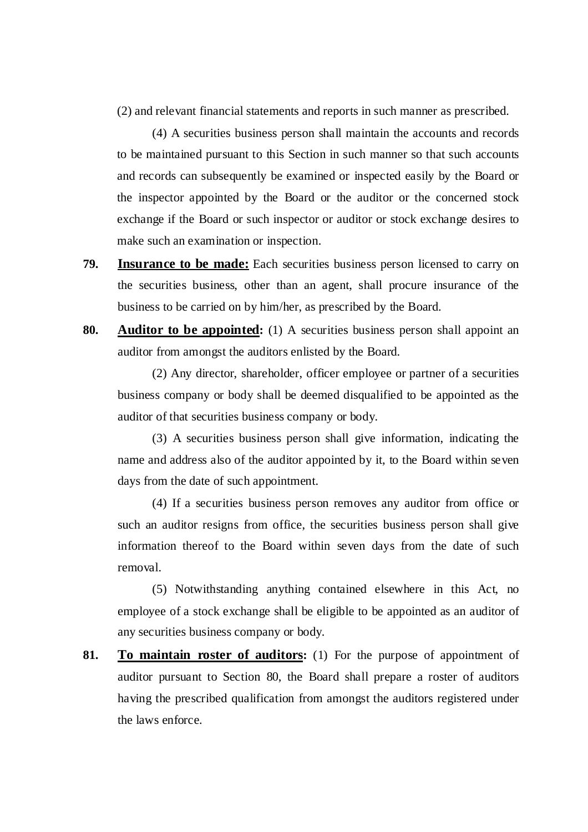(2) and relevant financial statements and reports in such manner as prescribed.

 (4) A securities business person shall maintain the accounts and records to be maintained pursuant to this Section in such manner so that such accounts and records can subsequently be examined or inspected easily by the Board or the inspector appointed by the Board or the auditor or the concerned stock exchange if the Board or such inspector or auditor or stock exchange desires to make such an examination or inspection.

- **79. Insurance to be made:** Each securities business person licensed to carry on the securities business, other than an agent, shall procure insurance of the business to be carried on by him/her, as prescribed by the Board.
- **80. Auditor to be appointed:** (1) A securities business person shall appoint an auditor from amongst the auditors enlisted by the Board.

 (2) Any director, shareholder, officer employee or partner of a securities business company or body shall be deemed disqualified to be appointed as the auditor of that securities business company or body.

 (3) A securities business person shall give information, indicating the name and address also of the auditor appointed by it, to the Board within seven days from the date of such appointment.

 (4) If a securities business person removes any auditor from office or such an auditor resigns from office, the securities business person shall give information thereof to the Board within seven days from the date of such removal.

 (5) Notwithstanding anything contained elsewhere in this Act, no employee of a stock exchange shall be eligible to be appointed as an auditor of any securities business company or body.

**81. To maintain roster of auditors:** (1) For the purpose of appointment of auditor pursuant to Section 80, the Board shall prepare a roster of auditors having the prescribed qualification from amongst the auditors registered under the laws enforce.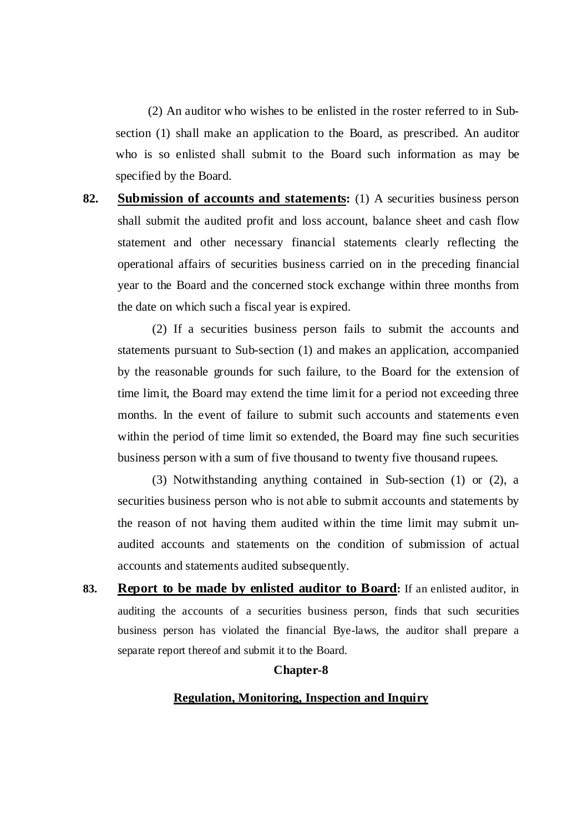(2) An auditor who wishes to be enlisted in the roster referred to in Subsection (1) shall make an application to the Board, as prescribed. An auditor who is so enlisted shall submit to the Board such information as may be specified by the Board.

**82. Submission of accounts and statements:** (1) A securities business person shall submit the audited profit and loss account, balance sheet and cash flow statement and other necessary financial statements clearly reflecting the operational affairs of securities business carried on in the preceding financial year to the Board and the concerned stock exchange within three months from the date on which such a fiscal year is expired.

 (2) If a securities business person fails to submit the accounts and statements pursuant to Sub-section (1) and makes an application, accompanied by the reasonable grounds for such failure, to the Board for the extension of time limit, the Board may extend the time limit for a period not exceeding three months. In the event of failure to submit such accounts and statements even within the period of time limit so extended, the Board may fine such securities business person with a sum of five thousand to twenty five thousand rupees.

 (3) Notwithstanding anything contained in Sub-section (1) or (2), a securities business person who is not able to submit accounts and statements by the reason of not having them audited within the time limit may submit unaudited accounts and statements on the condition of submission of actual accounts and statements audited subsequently.

**83. Report to be made by enlisted auditor to Board:** If an enlisted auditor, in auditing the accounts of a securities business person, finds that such securities business person has violated the financial Bye-laws, the auditor shall prepare a separate report thereof and submit it to the Board.

#### **Chapter-8**

#### **Regulation, Monitoring, Inspection and Inquiry**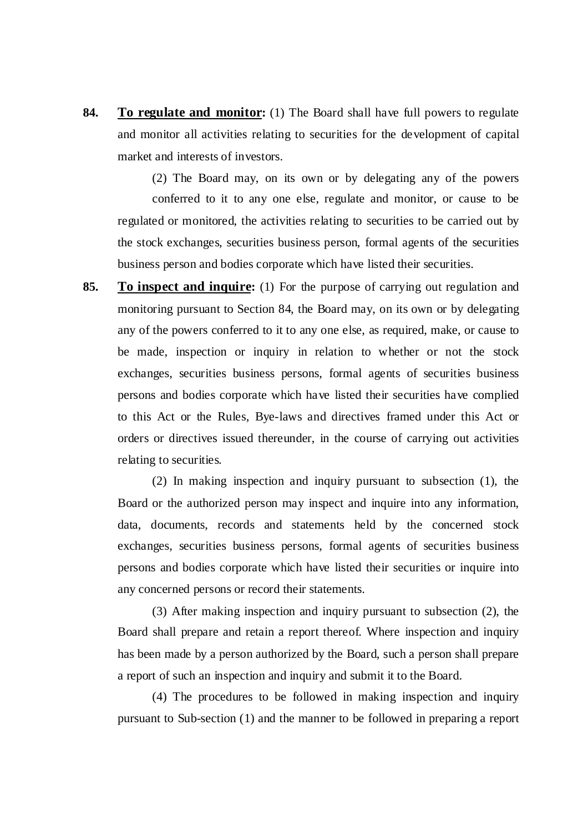**84. To regulate and monitor:** (1) The Board shall have full powers to regulate and monitor all activities relating to securities for the development of capital market and interests of investors.

 (2) The Board may, on its own or by delegating any of the powers conferred to it to any one else, regulate and monitor, or cause to be regulated or monitored, the activities relating to securities to be carried out by the stock exchanges, securities business person, formal agents of the securities business person and bodies corporate which have listed their securities.

**85. To inspect and inquire:** (1) For the purpose of carrying out regulation and monitoring pursuant to Section 84, the Board may, on its own or by delegating any of the powers conferred to it to any one else, as required, make, or cause to be made, inspection or inquiry in relation to whether or not the stock exchanges, securities business persons, formal agents of securities business persons and bodies corporate which have listed their securities have complied to this Act or the Rules, Bye-laws and directives framed under this Act or orders or directives issued thereunder, in the course of carrying out activities relating to securities.

 (2) In making inspection and inquiry pursuant to subsection (1), the Board or the authorized person may inspect and inquire into any information, data, documents, records and statements held by the concerned stock exchanges, securities business persons, formal agents of securities business persons and bodies corporate which have listed their securities or inquire into any concerned persons or record their statements.

 (3) After making inspection and inquiry pursuant to subsection (2), the Board shall prepare and retain a report thereof. Where inspection and inquiry has been made by a person authorized by the Board, such a person shall prepare a report of such an inspection and inquiry and submit it to the Board.

 (4) The procedures to be followed in making inspection and inquiry pursuant to Sub-section (1) and the manner to be followed in preparing a report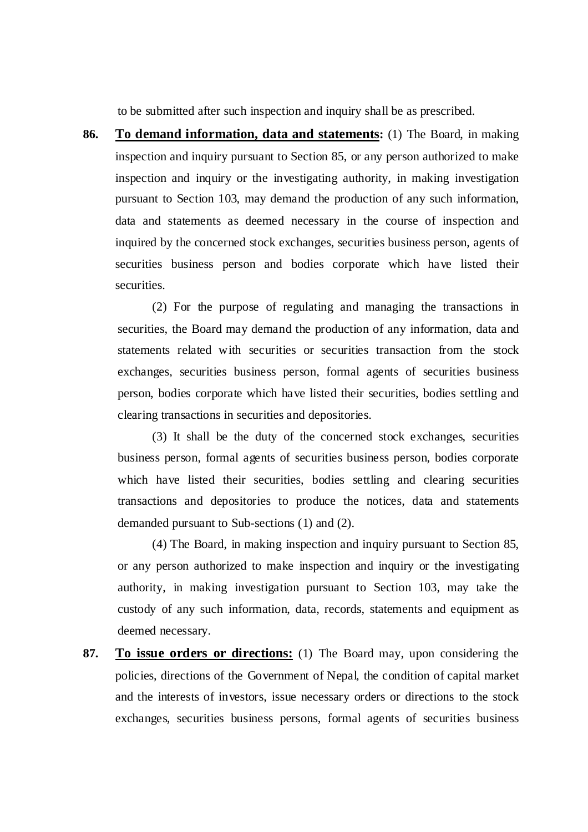to be submitted after such inspection and inquiry shall be as prescribed.

**86. To demand information, data and statements:** (1) The Board, in making inspection and inquiry pursuant to Section 85, or any person authorized to make inspection and inquiry or the investigating authority, in making investigation pursuant to Section 103, may demand the production of any such information, data and statements as deemed necessary in the course of inspection and inquired by the concerned stock exchanges, securities business person, agents of securities business person and bodies corporate which have listed their securities.

 (2) For the purpose of regulating and managing the transactions in securities, the Board may demand the production of any information, data and statements related with securities or securities transaction from the stock exchanges, securities business person, formal agents of securities business person, bodies corporate which have listed their securities, bodies settling and clearing transactions in securities and depositories.

 (3) It shall be the duty of the concerned stock exchanges, securities business person, formal agents of securities business person, bodies corporate which have listed their securities, bodies settling and clearing securities transactions and depositories to produce the notices, data and statements demanded pursuant to Sub-sections (1) and (2).

 (4) The Board, in making inspection and inquiry pursuant to Section 85, or any person authorized to make inspection and inquiry or the investigating authority, in making investigation pursuant to Section 103, may take the custody of any such information, data, records, statements and equipment as deemed necessary.

**87. To issue orders or directions:** (1) The Board may, upon considering the policies, directions of the Government of Nepal, the condition of capital market and the interests of investors, issue necessary orders or directions to the stock exchanges, securities business persons, formal agents of securities business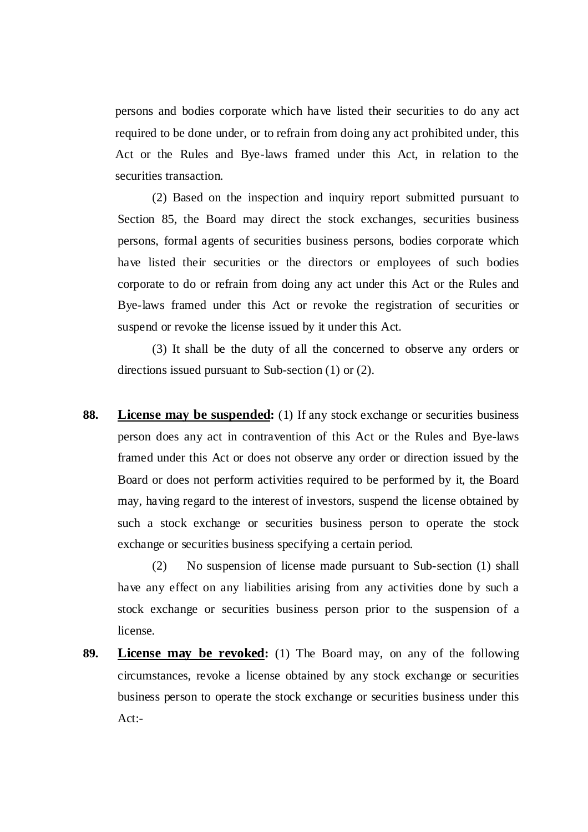persons and bodies corporate which have listed their securities to do any act required to be done under, or to refrain from doing any act prohibited under, this Act or the Rules and Bye-laws framed under this Act, in relation to the securities transaction.

 (2) Based on the inspection and inquiry report submitted pursuant to Section 85, the Board may direct the stock exchanges, securities business persons, formal agents of securities business persons, bodies corporate which have listed their securities or the directors or employees of such bodies corporate to do or refrain from doing any act under this Act or the Rules and Bye-laws framed under this Act or revoke the registration of securities or suspend or revoke the license issued by it under this Act.

 (3) It shall be the duty of all the concerned to observe any orders or directions issued pursuant to Sub-section (1) or (2).

**88. License may be suspended:** (1) If any stock exchange or securities business person does any act in contravention of this Act or the Rules and Bye-laws framed under this Act or does not observe any order or direction issued by the Board or does not perform activities required to be performed by it, the Board may, having regard to the interest of investors, suspend the license obtained by such a stock exchange or securities business person to operate the stock exchange or securities business specifying a certain period.

 (2) No suspension of license made pursuant to Sub-section (1) shall have any effect on any liabilities arising from any activities done by such a stock exchange or securities business person prior to the suspension of a license.

**89. License may be revoked:** (1) The Board may, on any of the following circumstances, revoke a license obtained by any stock exchange or securities business person to operate the stock exchange or securities business under this Act:-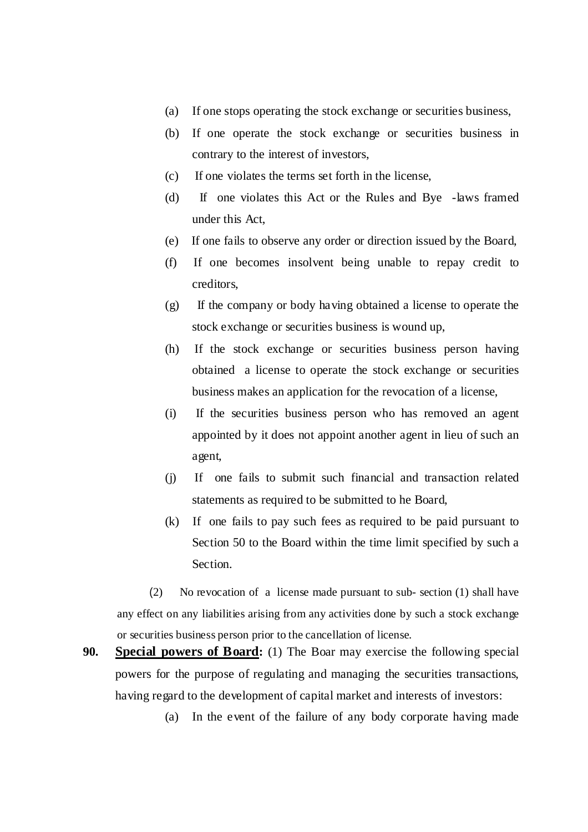- (a) If one stops operating the stock exchange or securities business,
- (b) If one operate the stock exchange or securities business in contrary to the interest of investors,
- (c) If one violates the terms set forth in the license,
- (d) If one violates this Act or the Rules and Bye -laws framed under this Act,
- (e) If one fails to observe any order or direction issued by the Board,
- (f) If one becomes insolvent being unable to repay credit to creditors,
- (g) If the company or body having obtained a license to operate the stock exchange or securities business is wound up,
- (h) If the stock exchange or securities business person having obtained a license to operate the stock exchange or securities business makes an application for the revocation of a license,
- (i) If the securities business person who has removed an agent appointed by it does not appoint another agent in lieu of such an agent,
- (j) If one fails to submit such financial and transaction related statements as required to be submitted to he Board,
- (k) If one fails to pay such fees as required to be paid pursuant to Section 50 to the Board within the time limit specified by such a Section.

(2) No revocation of a license made pursuant to sub- section (1) shall have any effect on any liabilities arising from any activities done by such a stock exchange or securities business person prior to the cancellation of license.

- **90. Special powers of Board:** (1) The Boar may exercise the following special powers for the purpose of regulating and managing the securities transactions, having regard to the development of capital market and interests of investors:
	- (a) In the event of the failure of any body corporate having made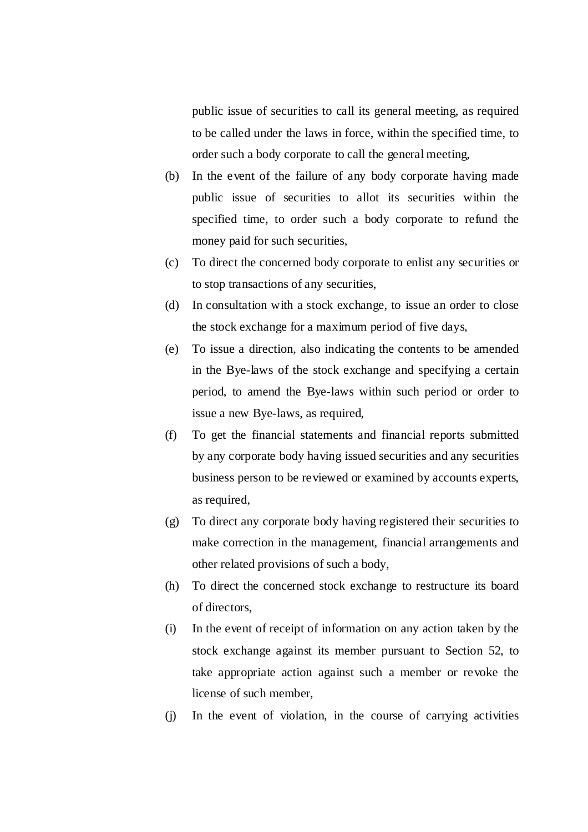public issue of securities to call its general meeting, as required to be called under the laws in force, within the specified time, to order such a body corporate to call the general meeting,

- (b) In the event of the failure of any body corporate having made public issue of securities to allot its securities within the specified time, to order such a body corporate to refund the money paid for such securities,
- (c) To direct the concerned body corporate to enlist any securities or to stop transactions of any securities,
- (d) In consultation with a stock exchange, to issue an order to close the stock exchange for a maximum period of five days,
- (e) To issue a direction, also indicating the contents to be amended in the Bye-laws of the stock exchange and specifying a certain period, to amend the Bye-laws within such period or order to issue a new Bye-laws, as required,
- (f) To get the financial statements and financial reports submitted by any corporate body having issued securities and any securities business person to be reviewed or examined by accounts experts, as required,
- (g) To direct any corporate body having registered their securities to make correction in the management, financial arrangements and other related provisions of such a body,
- (h) To direct the concerned stock exchange to restructure its board of directors,
- (i) In the event of receipt of information on any action taken by the stock exchange against its member pursuant to Section 52, to take appropriate action against such a member or revoke the license of such member,
- (j) In the event of violation, in the course of carrying activities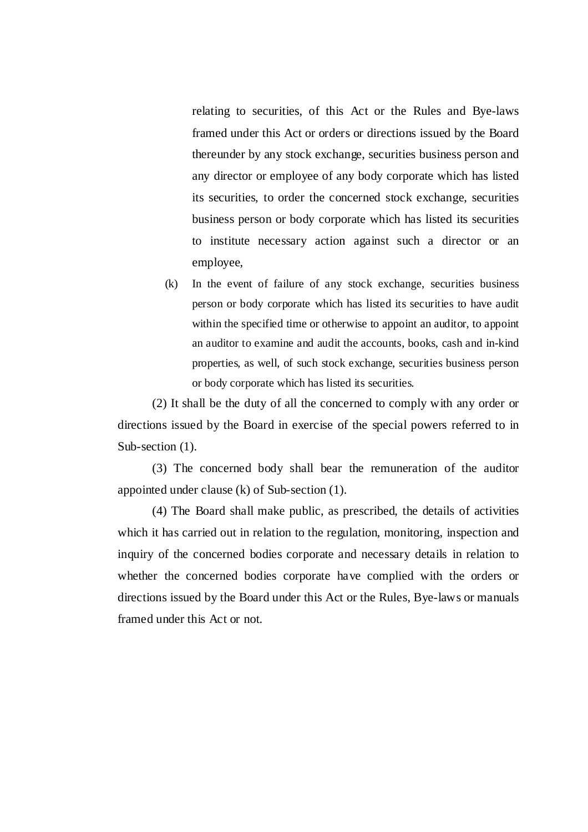relating to securities, of this Act or the Rules and Bye-laws framed under this Act or orders or directions issued by the Board thereunder by any stock exchange, securities business person and any director or employee of any body corporate which has listed its securities, to order the concerned stock exchange, securities business person or body corporate which has listed its securities to institute necessary action against such a director or an employee,

(k) In the event of failure of any stock exchange, securities business person or body corporate which has listed its securities to have audit within the specified time or otherwise to appoint an auditor, to appoint an auditor to examine and audit the accounts, books, cash and in-kind properties, as well, of such stock exchange, securities business person or body corporate which has listed its securities.

 (2) It shall be the duty of all the concerned to comply with any order or directions issued by the Board in exercise of the special powers referred to in Sub-section  $(1)$ .

 (3) The concerned body shall bear the remuneration of the auditor appointed under clause (k) of Sub-section (1).

 (4) The Board shall make public, as prescribed, the details of activities which it has carried out in relation to the regulation, monitoring, inspection and inquiry of the concerned bodies corporate and necessary details in relation to whether the concerned bodies corporate have complied with the orders or directions issued by the Board under this Act or the Rules, Bye-laws or manuals framed under this Act or not.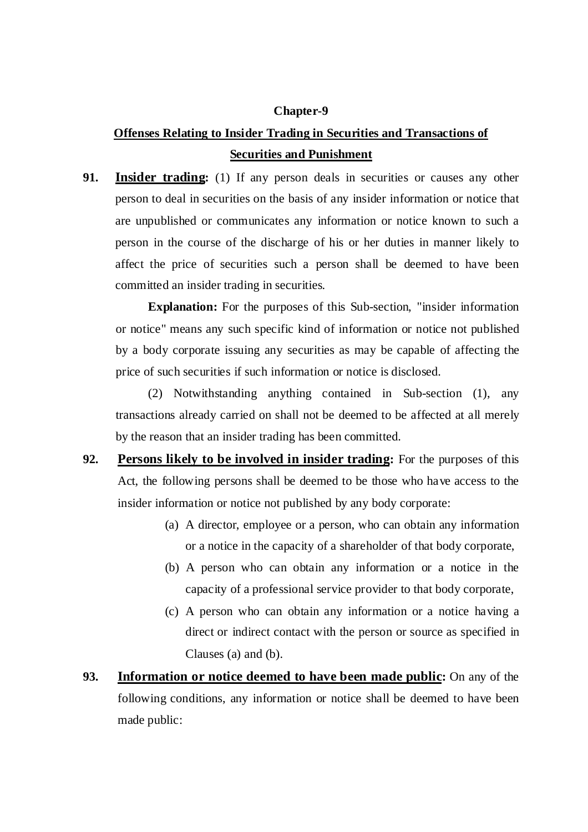#### **Chapter-9**

## **Offenses Relating to Insider Trading in Securities and Transactions of Securities and Punishment**

**91. Insider trading:** (1) If any person deals in securities or causes any other person to deal in securities on the basis of any insider information or notice that are unpublished or communicates any information or notice known to such a person in the course of the discharge of his or her duties in manner likely to affect the price of securities such a person shall be deemed to have been committed an insider trading in securities.

**Explanation:** For the purposes of this Sub-section, "insider information" or notice" means any such specific kind of information or notice not published by a body corporate issuing any securities as may be capable of affecting the price of such securities if such information or notice is disclosed.

(2) Notwithstanding anything contained in Sub-section (1), any transactions already carried on shall not be deemed to be affected at all merely by the reason that an insider trading has been committed.

- **92. Persons likely to be involved in insider trading:** For the purposes of this Act, the following persons shall be deemed to be those who have access to the insider information or notice not published by any body corporate:
	- (a) A director, employee or a person, who can obtain any information or a notice in the capacity of a shareholder of that body corporate,
	- (b) A person who can obtain any information or a notice in the capacity of a professional service provider to that body corporate,
	- (c) A person who can obtain any information or a notice having a direct or indirect contact with the person or source as specified in Clauses (a) and (b).
- **93. Information or notice deemed to have been made public:** On any of the following conditions, any information or notice shall be deemed to have been made public: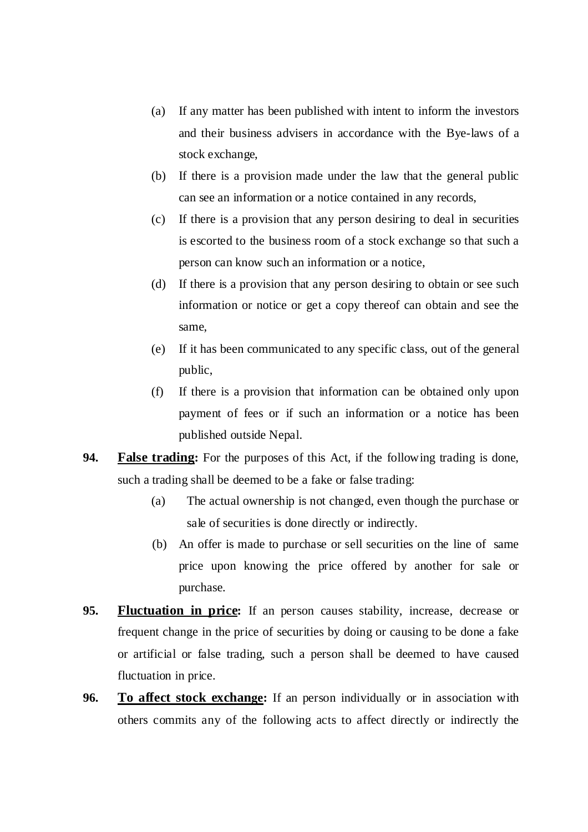- (a) If any matter has been published with intent to inform the investors and their business advisers in accordance with the Bye-laws of a stock exchange,
- (b) If there is a provision made under the law that the general public can see an information or a notice contained in any records,
- (c) If there is a provision that any person desiring to deal in securities is escorted to the business room of a stock exchange so that such a person can know such an information or a notice,
- (d) If there is a provision that any person desiring to obtain or see such information or notice or get a copy thereof can obtain and see the same,
- (e) If it has been communicated to any specific class, out of the general public,
- (f) If there is a provision that information can be obtained only upon payment of fees or if such an information or a notice has been published outside Nepal.
- **94. False trading:** For the purposes of this Act, if the following trading is done, such a trading shall be deemed to be a fake or false trading:
	- (a) The actual ownership is not changed, even though the purchase or sale of securities is done directly or indirectly.
	- (b) An offer is made to purchase or sell securities on the line of same price upon knowing the price offered by another for sale or purchase.
- **95. Fluctuation in price:** If an person causes stability, increase, decrease or frequent change in the price of securities by doing or causing to be done a fake or artificial or false trading, such a person shall be deemed to have caused fluctuation in price.
- **96. To affect stock exchange:** If an person individually or in association with others commits any of the following acts to affect directly or indirectly the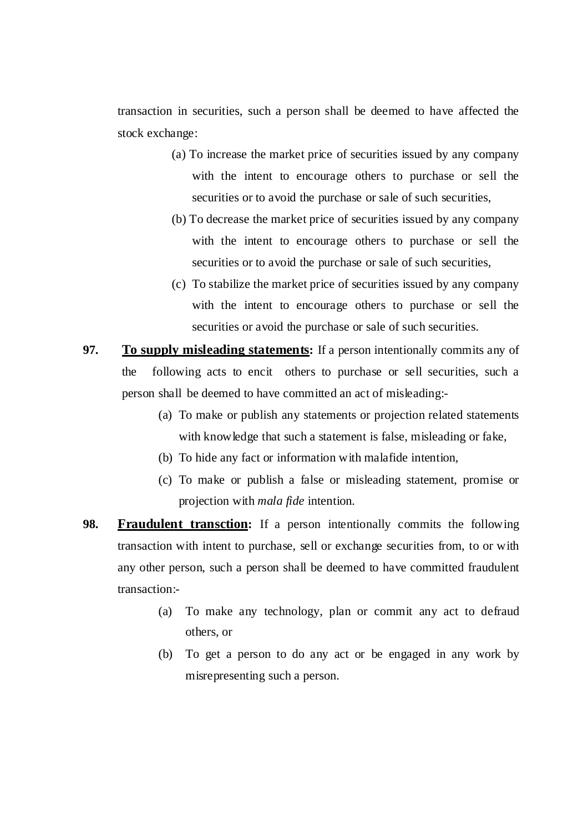transaction in securities, such a person shall be deemed to have affected the stock exchange:

- (a) To increase the market price of securities issued by any company with the intent to encourage others to purchase or sell the securities or to avoid the purchase or sale of such securities,
- (b) To decrease the market price of securities issued by any company with the intent to encourage others to purchase or sell the securities or to avoid the purchase or sale of such securities,
- (c) To stabilize the market price of securities issued by any company with the intent to encourage others to purchase or sell the securities or avoid the purchase or sale of such securities.
- **97. To supply misleading statements:** If a person intentionally commits any of the following acts to encit others to purchase or sell securities, such a person shall be deemed to have committed an act of misleading:-
	- (a) To make or publish any statements or projection related statements with knowledge that such a statement is false, misleading or fake,
	- (b) To hide any fact or information with malafide intention,
	- (c) To make or publish a false or misleading statement, promise or projection with *mala fide* intention.
- **98. Fraudulent transction:** If a person intentionally commits the following transaction with intent to purchase, sell or exchange securities from, to or with any other person, such a person shall be deemed to have committed fraudulent transaction:-
	- (a) To make any technology, plan or commit any act to defraud others, or
	- (b) To get a person to do any act or be engaged in any work by misrepresenting such a person.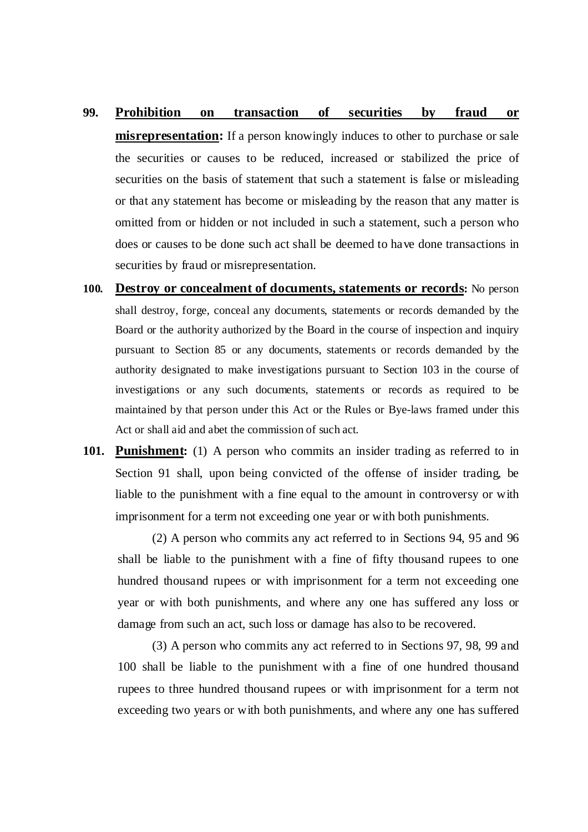### **99. Prohibition on transaction of securities by fraud or**

**misrepresentation:** If a person knowingly induces to other to purchase or sale the securities or causes to be reduced, increased or stabilized the price of securities on the basis of statement that such a statement is false or misleading or that any statement has become or misleading by the reason that any matter is omitted from or hidden or not included in such a statement, such a person who does or causes to be done such act shall be deemed to have done transactions in securities by fraud or misrepresentation.

- **100. Destroy or concealment of documents, statements or records:** No person shall destroy, forge, conceal any documents, statements or records demanded by the Board or the authority authorized by the Board in the course of inspection and inquiry pursuant to Section 85 or any documents, statements or records demanded by the authority designated to make investigations pursuant to Section 103 in the course of investigations or any such documents, statements or records as required to be maintained by that person under this Act or the Rules or Bye-laws framed under this Act or shall aid and abet the commission of such act.
- **101. Punishment:** (1) A person who commits an insider trading as referred to in Section 91 shall, upon being convicted of the offense of insider trading, be liable to the punishment with a fine equal to the amount in controversy or with imprisonment for a term not exceeding one year or with both punishments.

 (2) A person who commits any act referred to in Sections 94, 95 and 96 shall be liable to the punishment with a fine of fifty thousand rupees to one hundred thousand rupees or with imprisonment for a term not exceeding one year or with both punishments, and where any one has suffered any loss or damage from such an act, such loss or damage has also to be recovered.

 (3) A person who commits any act referred to in Sections 97, 98, 99 and 100 shall be liable to the punishment with a fine of one hundred thousand rupees to three hundred thousand rupees or with imprisonment for a term not exceeding two years or with both punishments, and where any one has suffered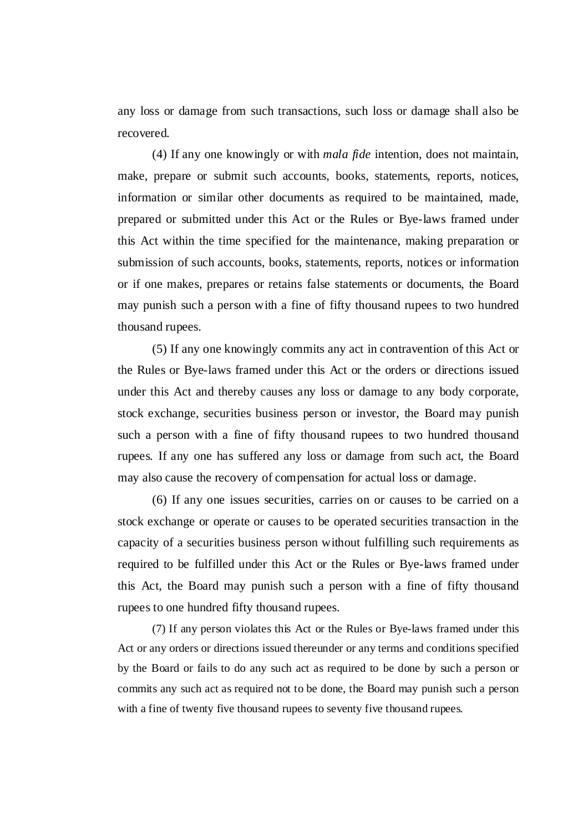any loss or damage from such transactions, such loss or damage shall also be recovered.

 (4) If any one knowingly or with *mala fide* intention, does not maintain, make, prepare or submit such accounts, books, statements, reports, notices, information or similar other documents as required to be maintained, made, prepared or submitted under this Act or the Rules or Bye-laws framed under this Act within the time specified for the maintenance, making preparation or submission of such accounts, books, statements, reports, notices or information or if one makes, prepares or retains false statements or documents, the Board may punish such a person with a fine of fifty thousand rupees to two hundred thousand rupees.

 (5) If any one knowingly commits any act in contravention of this Act or the Rules or Bye-laws framed under this Act or the orders or directions issued under this Act and thereby causes any loss or damage to any body corporate, stock exchange, securities business person or investor, the Board may punish such a person with a fine of fifty thousand rupees to two hundred thousand rupees. If any one has suffered any loss or damage from such act, the Board may also cause the recovery of compensation for actual loss or damage.

 (6) If any one issues securities, carries on or causes to be carried on a stock exchange or operate or causes to be operated securities transaction in the capacity of a securities business person without fulfilling such requirements as required to be fulfilled under this Act or the Rules or Bye-laws framed under this Act, the Board may punish such a person with a fine of fifty thousand rupees to one hundred fifty thousand rupees.

 (7) If any person violates this Act or the Rules or Bye-laws framed under this Act or any orders or directions issued thereunder or any terms and conditions specified by the Board or fails to do any such act as required to be done by such a person or commits any such act as required not to be done, the Board may punish such a person with a fine of twenty five thousand rupees to seventy five thousand rupees.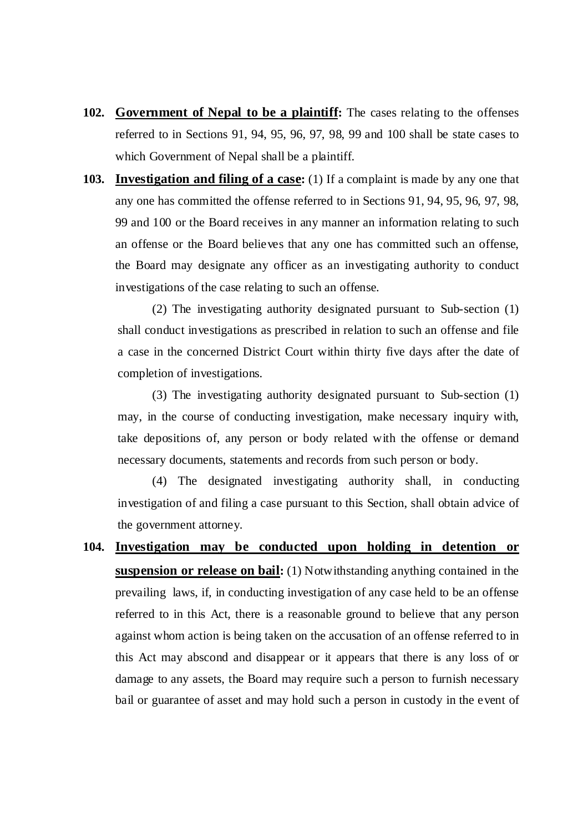- **102. Government of Nepal to be a plaintiff:** The cases relating to the offenses referred to in Sections 91, 94, 95, 96, 97, 98, 99 and 100 shall be state cases to which Government of Nepal shall be a plaintiff.
- **103. Investigation and filing of a case:** (1) If a complaint is made by any one that any one has committed the offense referred to in Sections 91, 94, 95, 96, 97, 98, 99 and 100 or the Board receives in any manner an information relating to such an offense or the Board believes that any one has committed such an offense, the Board may designate any officer as an investigating authority to conduct investigations of the case relating to such an offense.

 (2) The investigating authority designated pursuant to Sub-section (1) shall conduct investigations as prescribed in relation to such an offense and file a case in the concerned District Court within thirty five days after the date of completion of investigations.

 (3) The investigating authority designated pursuant to Sub-section (1) may, in the course of conducting investigation, make necessary inquiry with, take depositions of, any person or body related with the offense or demand necessary documents, statements and records from such person or body.

 (4) The designated investigating authority shall, in conducting investigation of and filing a case pursuant to this Section, shall obtain advice of the government attorney.

**104. Investigation may be conducted upon holding in detention or suspension or release on bail:** (1) Notwithstanding anything contained in the prevailing laws, if, in conducting investigation of any case held to be an offense referred to in this Act, there is a reasonable ground to believe that any person against whom action is being taken on the accusation of an offense referred to in this Act may abscond and disappear or it appears that there is any loss of or damage to any assets, the Board may require such a person to furnish necessary bail or guarantee of asset and may hold such a person in custody in the event of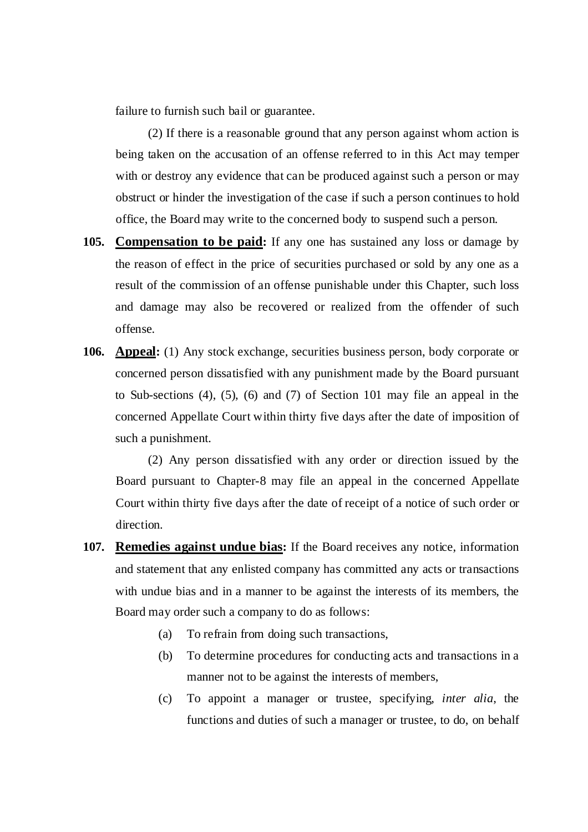failure to furnish such bail or guarantee.

(2) If there is a reasonable ground that any person against whom action is being taken on the accusation of an offense referred to in this Act may temper with or destroy any evidence that can be produced against such a person or may obstruct or hinder the investigation of the case if such a person continues to hold office, the Board may write to the concerned body to suspend such a person.

- **105. Compensation to be paid:** If any one has sustained any loss or damage by the reason of effect in the price of securities purchased or sold by any one as a result of the commission of an offense punishable under this Chapter, such loss and damage may also be recovered or realized from the offender of such offense.
- **106. Appeal:** (1) Any stock exchange, securities business person, body corporate or concerned person dissatisfied with any punishment made by the Board pursuant to Sub-sections (4), (5), (6) and (7) of Section 101 may file an appeal in the concerned Appellate Court within thirty five days after the date of imposition of such a punishment.

(2) Any person dissatisfied with any order or direction issued by the Board pursuant to Chapter-8 may file an appeal in the concerned Appellate Court within thirty five days after the date of receipt of a notice of such order or direction.

- **107. Remedies against undue bias:** If the Board receives any notice, information and statement that any enlisted company has committed any acts or transactions with undue bias and in a manner to be against the interests of its members, the Board may order such a company to do as follows:
	- (a) To refrain from doing such transactions,
	- (b) To determine procedures for conducting acts and transactions in a manner not to be against the interests of members,
	- (c) To appoint a manager or trustee, specifying, *inter alia*, the functions and duties of such a manager or trustee, to do, on behalf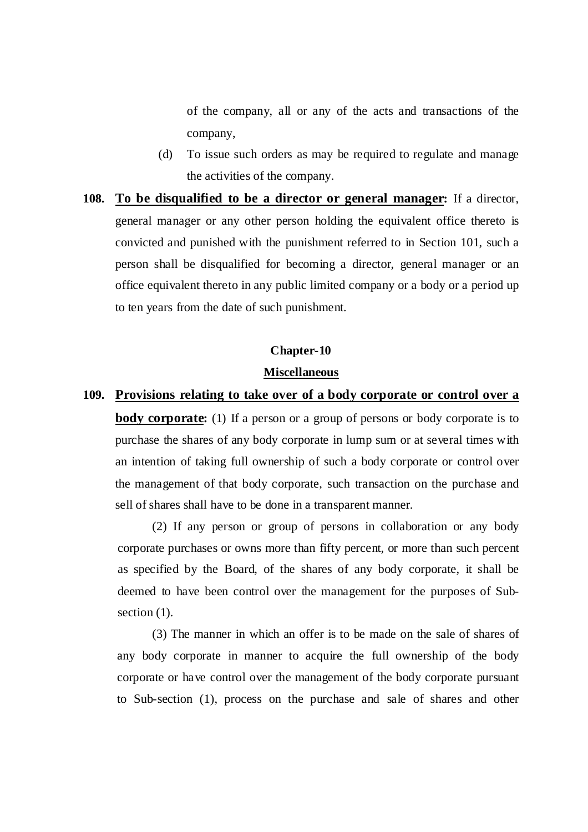of the company, all or any of the acts and transactions of the company,

- (d) To issue such orders as may be required to regulate and manage the activities of the company.
- **108. To be disqualified to be a director or general manager:** If a director, general manager or any other person holding the equivalent office thereto is convicted and punished with the punishment referred to in Section 101, such a person shall be disqualified for becoming a director, general manager or an office equivalent thereto in any public limited company or a body or a period up to ten years from the date of such punishment.

#### **Chapter-10**

#### **Miscellaneous**

**109. Provisions relating to take over of a body corporate or control over a body corporate:** (1) If a person or a group of persons or body corporate is to purchase the shares of any body corporate in lump sum or at several times with an intention of taking full ownership of such a body corporate or control over the management of that body corporate, such transaction on the purchase and sell of shares shall have to be done in a transparent manner.

 (2) If any person or group of persons in collaboration or any body corporate purchases or owns more than fifty percent, or more than such percent as specified by the Board, of the shares of any body corporate, it shall be deemed to have been control over the management for the purposes of Subsection  $(1)$ .

 (3) The manner in which an offer is to be made on the sale of shares of any body corporate in manner to acquire the full ownership of the body corporate or have control over the management of the body corporate pursuant to Sub-section (1), process on the purchase and sale of shares and other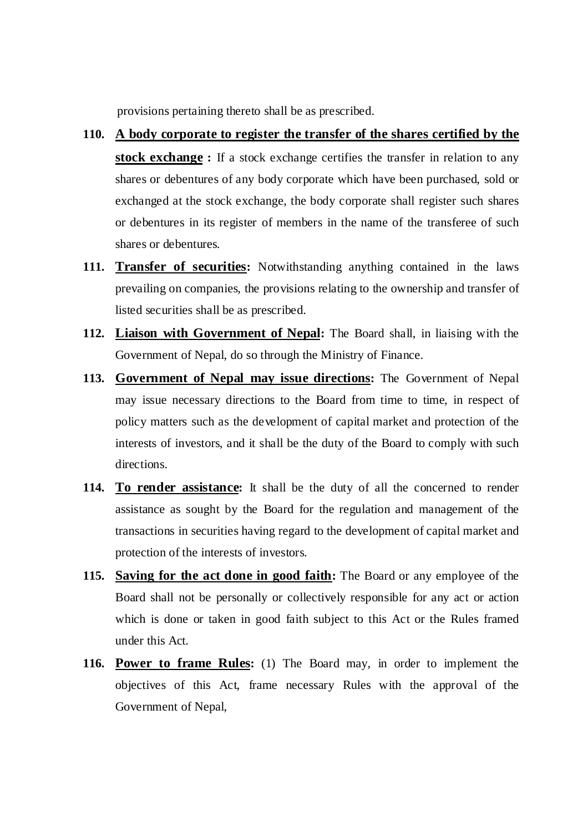provisions pertaining thereto shall be as prescribed.

- **110. A body corporate to register the transfer of the shares certified by the stock exchange :** If a stock exchange certifies the transfer in relation to any shares or debentures of any body corporate which have been purchased, sold or exchanged at the stock exchange, the body corporate shall register such shares or debentures in its register of members in the name of the transferee of such shares or debentures.
- **111. Transfer of securities:** Notwithstanding anything contained in the laws prevailing on companies, the provisions relating to the ownership and transfer of listed securities shall be as prescribed.
- **112. Liaison with Government of Nepal:** The Board shall, in liaising with the Government of Nepal, do so through the Ministry of Finance.
- **113. Government of Nepal may issue directions:** The Government of Nepal may issue necessary directions to the Board from time to time, in respect of policy matters such as the development of capital market and protection of the interests of investors, and it shall be the duty of the Board to comply with such directions.
- **114. To render assistance:** It shall be the duty of all the concerned to render assistance as sought by the Board for the regulation and management of the transactions in securities having regard to the development of capital market and protection of the interests of investors.
- **115. Saving for the act done in good faith:** The Board or any employee of the Board shall not be personally or collectively responsible for any act or action which is done or taken in good faith subject to this Act or the Rules framed under this Act.
- **116. Power to frame Rules:** (1) The Board may, in order to implement the objectives of this Act, frame necessary Rules with the approval of the Government of Nepal,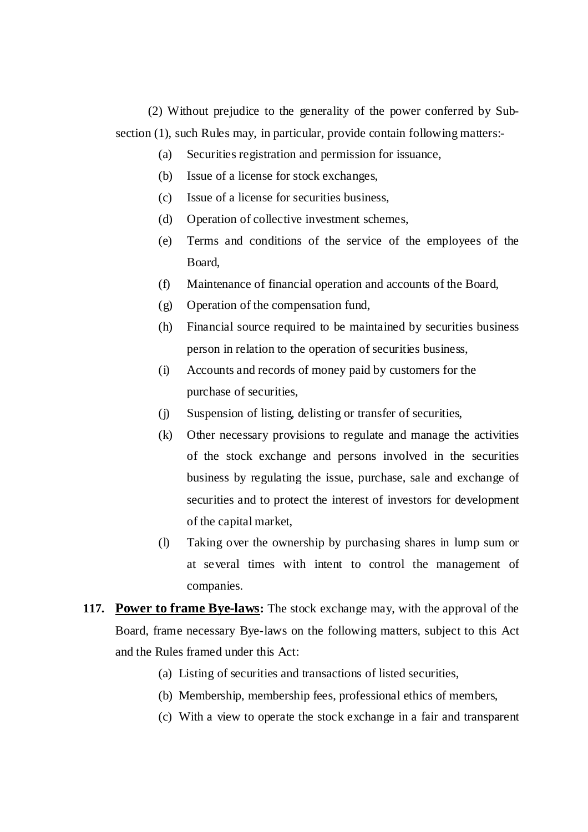(2) Without prejudice to the generality of the power conferred by Subsection (1), such Rules may, in particular, provide contain following matters:-

- (a) Securities registration and permission for issuance,
- (b) Issue of a license for stock exchanges,
- (c) Issue of a license for securities business,
- (d) Operation of collective investment schemes,
- (e) Terms and conditions of the service of the employees of the Board,
- (f) Maintenance of financial operation and accounts of the Board,
- (g) Operation of the compensation fund,
- (h) Financial source required to be maintained by securities business person in relation to the operation of securities business,
- (i) Accounts and records of money paid by customers for the purchase of securities,
- (j) Suspension of listing, delisting or transfer of securities,
- (k) Other necessary provisions to regulate and manage the activities of the stock exchange and persons involved in the securities business by regulating the issue, purchase, sale and exchange of securities and to protect the interest of investors for development of the capital market,
- (l) Taking over the ownership by purchasing shares in lump sum or at several times with intent to control the management of companies.
- **117. Power to frame Bye-laws:** The stock exchange may, with the approval of the Board, frame necessary Bye-laws on the following matters, subject to this Act and the Rules framed under this Act:
	- (a) Listing of securities and transactions of listed securities,
	- (b) Membership, membership fees, professional ethics of members,
	- (c) With a view to operate the stock exchange in a fair and transparent